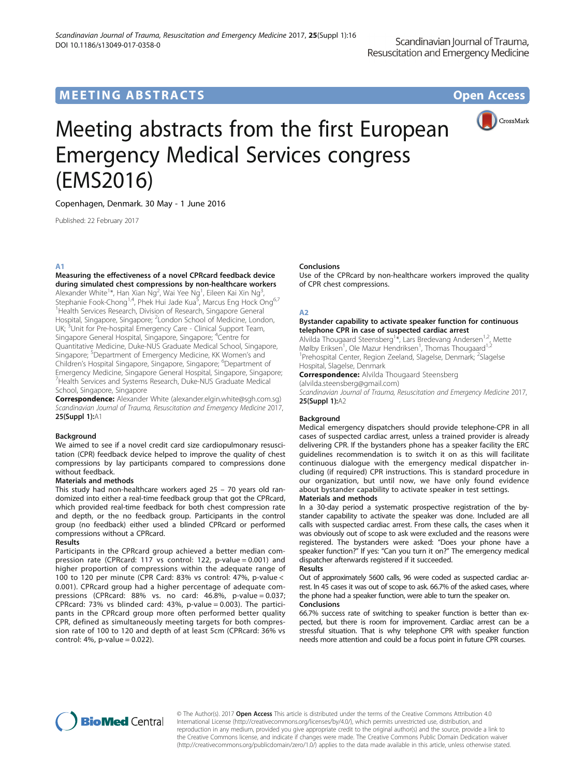# MEETING ABSTRACTS AND RESERVE THE STATE OPEN ACCESS



# Meeting abstracts from the first European Emergency Medical Services congress (EMS2016)

Copenhagen, Denmark. 30 May - 1 June 2016

Published: 22 February 2017

# A1

Measuring the effectiveness of a novel CPRcard feedback device during simulated chest compressions by non-healthcare workers Alexander White<sup>1\*</sup>, Han Xian Ng<sup>2</sup>, Wai Yee Ng<sup>1</sup>, Eileen Kai Xin Ng<sup>3</sup> , Stephanie Fook-Chong<sup>1,4</sup>, Phek Hui Jade Kua<sup>5</sup>, Marcus Eng Hock Ong<sup>6,7</sup> <sup>1</sup> Health Services Research, Division of Research, Singapore General Hospital, Singapore, Singapore; <sup>2</sup>London School of Medicine, London, UK; <sup>3</sup>Unit for Pre-hospital Emergency Care - Clinical Support Team, Singapore General Hospital, Singapore, Singapore; <sup>4</sup>Centre for Quantitative Medicine, Duke-NUS Graduate Medical School, Singapore, Singapore; <sup>5</sup>Department of Emergency Medicine, KK Women's and Children's Hospital Singapore, Singapore, Singapore; <sup>6</sup>Department of Emergency Medicine, Singapore General Hospital, Singapore, Singapore; 7 Health Services and Systems Research, Duke-NUS Graduate Medical School, Singapore, Singapore

Correspondence: Alexander White (alexander.elgin.white@sgh.com.sg) Scandinavian Journal of Trauma, Resuscitation and Emergency Medicine 2017, 25(Suppl 1):A1

# Background

We aimed to see if a novel credit card size cardiopulmonary resuscitation (CPR) feedback device helped to improve the quality of chest compressions by lay participants compared to compressions done without feedback.

# Materials and methods

This study had non-healthcare workers aged 25 – 70 years old randomized into either a real-time feedback group that got the CPRcard, which provided real-time feedback for both chest compression rate and depth, or the no feedback group. Participants in the control group (no feedback) either used a blinded CPRcard or performed compressions without a CPRcard.

# Results

Participants in the CPRcard group achieved a better median compression rate (CPRcard: 117 vs control: 122, p-value = 0.001) and higher proportion of compressions within the adequate range of 100 to 120 per minute (CPR Card: 83% vs control: 47%, p-value < 0.001). CPRcard group had a higher percentage of adequate compressions (CPRcard: 88% vs. no card: 46.8%, p-value = 0.037; CPRcard: 73% vs blinded card: 43%, p-value = 0.003). The participants in the CPRcard group more often performed better quality CPR, defined as simultaneously meeting targets for both compression rate of 100 to 120 and depth of at least 5cm (CPRcard: 36% vs control:  $4\%$ , p-value = 0.022).

# Conclusions

Use of the CPRcard by non-healthcare workers improved the quality of CPR chest compressions.

# A2

# Bystander capability to activate speaker function for continuous telephone CPR in case of suspected cardiac arrest

Alvilda Thougaard Steensberg<sup>1\*</sup>, Lars Bredevang Andersen<sup>1,2</sup>, Mette Mølby Eriksen<sup>1</sup>, Ole Mazur Hendriksen<sup>1</sup>, Thomas Thougaard<sup>1,2</sup> <sup>1</sup>Prehospital Center, Region Zeeland, Slagelse, Denmark; <sup>2</sup>Slagelse Hospital, Slagelse, Denmark

**Correspondence:** Alvilda Thougaard Steensberg (alvilda.steensberg@gmail.com)

Scandinavian Journal of Trauma, Resuscitation and Emergency Medicine 2017, 25(Suppl 1):A2

# Background

Medical emergency dispatchers should provide telephone-CPR in all cases of suspected cardiac arrest, unless a trained provider is already delivering CPR. If the bystanders phone has a speaker facility the ERC guidelines recommendation is to switch it on as this will facilitate continuous dialogue with the emergency medical dispatcher including (if required) CPR instructions. This is standard procedure in our organization, but until now, we have only found evidence about bystander capability to activate speaker in test settings.

# Materials and methods

In a 30-day period a systematic prospective registration of the bystander capability to activate the speaker was done. Included are all calls with suspected cardiac arrest. From these calls, the cases when it was obviously out of scope to ask were excluded and the reasons were registered. The bystanders were asked: "Does your phone have a speaker function?" If yes: "Can you turn it on?" The emergency medical dispatcher afterwards registered if it succeeded.

# Results

Out of approximately 5600 calls, 96 were coded as suspected cardiac arrest. In 45 cases it was out of scope to ask. 66.7% of the asked cases, where the phone had a speaker function, were able to turn the speaker on.

# Conclusions

66.7% success rate of switching to speaker function is better than expected, but there is room for improvement. Cardiac arrest can be a stressful situation. That is why telephone CPR with speaker function needs more attention and could be a focus point in future CPR courses.



© The Author(s). 2017 Open Access This article is distributed under the terms of the Creative Commons Attribution 4.0 International License ([http://creativecommons.org/licenses/by/4.0/\)](http://creativecommons.org/licenses/by/4.0/), which permits unrestricted use, distribution, and reproduction in any medium, provided you give appropriate credit to the original author(s) and the source, provide a link to the Creative Commons license, and indicate if changes were made. The Creative Commons Public Domain Dedication waiver ([http://creativecommons.org/publicdomain/zero/1.0/\)](http://creativecommons.org/publicdomain/zero/1.0/) applies to the data made available in this article, unless otherwise stated.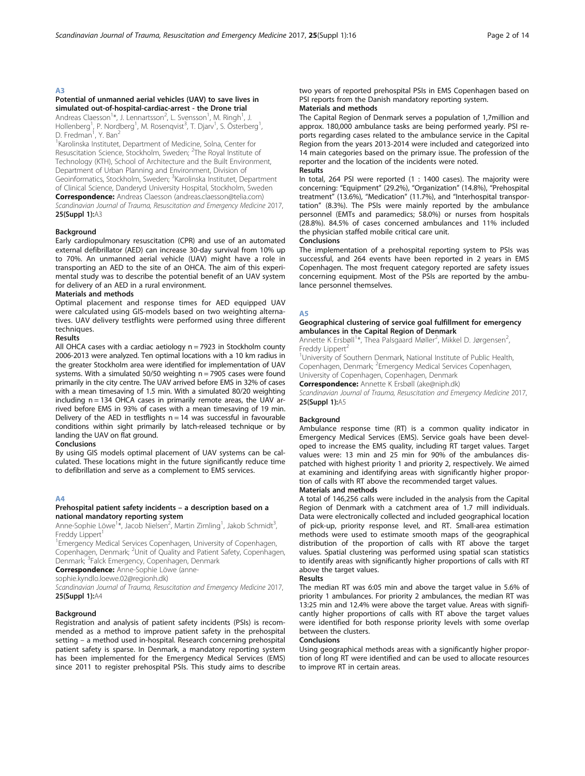# Potential of unmanned aerial vehicles (UAV) to save lives in simulated out-of-hospital-cardiac-arrest - the Drone trial

Andreas Claesson<sup>1</sup>\*, J. Lennartsson<sup>2</sup>, L. Svensson<sup>1</sup>, M. Ringh<sup>1</sup>, J. Hollenberg<sup>1</sup>, P. Nordberg<sup>1</sup>, M. Rosenqvist<sup>3</sup>, T. Djarv<sup>1</sup>, S. Österberg<sup>1</sup> , D. Fredman<sup>1</sup>, Y. Ban<sup>2</sup>

<sup>1</sup> Karolinska Institutet, Department of Medicine, Solna, Center for Resuscitation Science, Stockholm, Sweden; <sup>2</sup>The Royal Institute of Technology (KTH), School of Architecture and the Built Environment, Department of Urban Planning and Environment, Division of Geoinformatics, Stockholm, Sweden; <sup>3</sup>Karolinska Institutet, Department of Clinical Science, Danderyd University Hospital, Stockholm, Sweden Correspondence: Andreas Claesson (andreas.claesson@telia.com)

Scandinavian Journal of Trauma, Resuscitation and Emergency Medicine 2017, 25(Suppl 1):A3

# Background

Early cardiopulmonary resuscitation (CPR) and use of an automated external defibrillator (AED) can increase 30-day survival from 10% up to 70%. An unmanned aerial vehicle (UAV) might have a role in transporting an AED to the site of an OHCA. The aim of this experimental study was to describe the potential benefit of an UAV system for delivery of an AED in a rural environment.

# Materials and methods

Optimal placement and response times for AED equipped UAV were calculated using GIS-models based on two weighting alternatives. UAV delivery testflights were performed using three different techniques.

# Results

All OHCA cases with a cardiac aetiology  $n = 7923$  in Stockholm county 2006-2013 were analyzed. Ten optimal locations with a 10 km radius in the greater Stockholm area were identified for implementation of UAV systems. With a simulated 50/50 weighting  $n = 7905$  cases were found primarily in the city centre. The UAV arrived before EMS in 32% of cases with a mean timesaving of 1.5 min. With a simulated 80/20 weighting including  $n = 134$  OHCA cases in primarily remote areas, the UAV arrived before EMS in 93% of cases with a mean timesaving of 19 min. Delivery of the AED in testflights  $n = 14$  was successful in favourable conditions within sight primarily by latch-released technique or by landing the UAV on flat ground.

# Conclusions

By using GIS models optimal placement of UAV systems can be calculated. These locations might in the future significantly reduce time to defibrillation and serve as a complement to EMS services.

# A4

# Prehospital patient safety incidents – a description based on a national mandatory reporting system

Anne-Sophie Löwe<sup>1\*</sup>, Jacob Nielsen<sup>2</sup>, Martin Zimling<sup>1</sup>, Jakob Schmidt<sup>3</sup> , Freddy Lippert<sup>1</sup>

<sup>1</sup> Emergency Medical Services Copenhagen, University of Copenhagen, Copenhagen, Denmark; <sup>2</sup>Unit of Quality and Patient Safety, Copenhagen, Denmark; <sup>3</sup> Falck Emergency, Copenhagen, Denmark

**Correspondence:** Anne-Sophie Löwe (anne-

sophie.kyndlo.loewe.02@regionh.dk)

Scandinavian Journal of Trauma, Resuscitation and Emergency Medicine 2017, 25(Suppl 1):A4

# **Background**

Registration and analysis of patient safety incidents (PSIs) is recommended as a method to improve patient safety in the prehospital setting – a method used in-hospital. Research concerning prehospital patient safety is sparse. In Denmark, a mandatory reporting system has been implemented for the Emergency Medical Services (EMS) since 2011 to register prehospital PSIs. This study aims to describe two years of reported prehospital PSIs in EMS Copenhagen based on PSI reports from the Danish mandatory reporting system.

# Materials and methods

The Capital Region of Denmark serves a population of 1,7million and approx. 180,000 ambulance tasks are being performed yearly. PSI reports regarding cases related to the ambulance service in the Capital Region from the years 2013-2014 were included and categorized into 14 main categories based on the primary issue. The profession of the reporter and the location of the incidents were noted.

# Results

In total, 264 PSI were reported (1 : 1400 cases). The majority were concerning: "Equipment" (29.2%), "Organization" (14.8%), "Prehospital treatment" (13.6%), "Medication" (11.7%), and "Interhospital transportation" (8.3%). The PSIs were mainly reported by the ambulance personnel (EMTs and paramedics; 58.0%) or nurses from hospitals (28.8%). 84.5% of cases concerned ambulances and 11% included the physician staffed mobile critical care unit.

# **Conclusions**

The implementation of a prehospital reporting system to PSIs was successful, and 264 events have been reported in 2 years in EMS Copenhagen. The most frequent category reported are safety issues concerning equipment. Most of the PSIs are reported by the ambulance personnel themselves.

#### A5

#### Geographical clustering of service goal fulfillment for emergency ambulances in the Capital Region of Denmark

Annette K Ersbøll<sup>1</sup>\*, Thea Palsgaard Møller<sup>2</sup>, Mikkel D. Jørgensen<sup>2</sup> , Freddy Lippert<sup>2</sup>

<sup>1</sup>University of Southern Denmark, National Institute of Public Health, Copenhagen, Denmark; <sup>2</sup>Emergency Medical Services Copenhagen, University of Copenhagen, Copenhagen, Denmark

Correspondence: Annette K Ersbøll (ake@niph.dk)

Scandinavian Journal of Trauma, Resuscitation and Emergency Medicine 2017, 25(Suppl 1):A5

# **Background**

Ambulance response time (RT) is a common quality indicator in Emergency Medical Services (EMS). Service goals have been developed to increase the EMS quality, including RT target values. Target values were: 13 min and 25 min for 90% of the ambulances dispatched with highest priority 1 and priority 2, respectively. We aimed at examining and identifying areas with significantly higher proportion of calls with RT above the recommended target values.

# Materials and methods

A total of 146,256 calls were included in the analysis from the Capital Region of Denmark with a catchment area of 1.7 mill individuals. Data were electronically collected and included geographical location of pick-up, priority response level, and RT. Small-area estimation methods were used to estimate smooth maps of the geographical distribution of the proportion of calls with RT above the target values. Spatial clustering was performed using spatial scan statistics to identify areas with significantly higher proportions of calls with RT above the target values.

#### Results

The median RT was 6:05 min and above the target value in 5.6% of priority 1 ambulances. For priority 2 ambulances, the median RT was 13:25 min and 12.4% were above the target value. Areas with significantly higher proportions of calls with RT above the target values were identified for both response priority levels with some overlap between the clusters.

#### Conclusions

Using geographical methods areas with a significantly higher proportion of long RT were identified and can be used to allocate resources to improve RT in certain areas.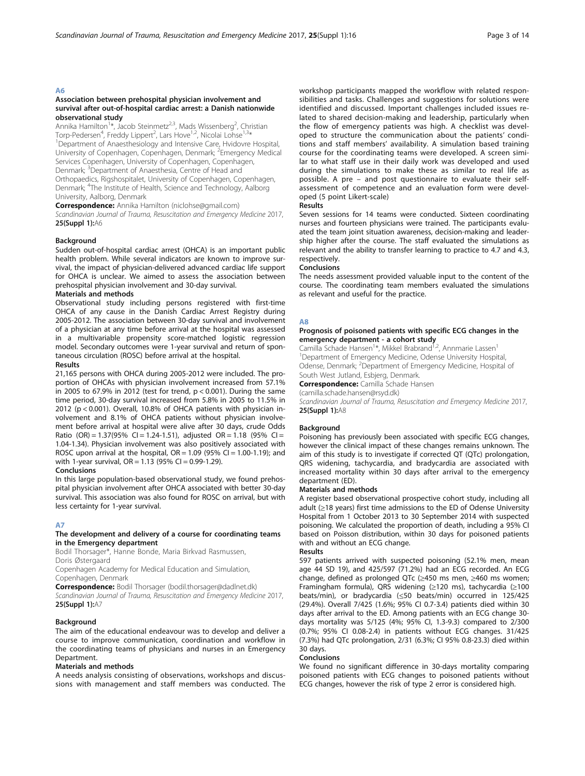# Association between prehospital physician involvement and survival after out-of-hospital cardiac arrest: a Danish nationwide observational study

Annika Hamilton<sup>1\*</sup>, Jacob Steinmetz<sup>2,3</sup>, Mads Wissenberg<sup>2</sup>, Christian<br>Torp-Pedersen<sup>4</sup>, Freddy Lippert<sup>2</sup>, Lars Hove<sup>1,2</sup>, Nicolai Lohse<sup>1,3\*</sup><br><sup>1</sup> Dopartment of Apastrbosiology and Intensive Care Hyidovre Host <sup>1</sup>Department of Anaesthesiology and Intensive Care, Hvidovre Hospital, University of Copenhagen, Copenhagen, Denmark; <sup>2</sup>Emergency Medical Services Copenhagen, University of Copenhagen, Copenhagen, Denmark; <sup>3</sup>Department of Anaesthesia, Centre of Head and Orthopaedics, Rigshospitalet, University of Copenhagen, Copenhagen, Denmark; <sup>4</sup>The Institute of Health, Science and Technology, Aalborg University, Aalborg, Denmark

Correspondence: Annika Hamilton (niclohse@gmail.com)

Scandinavian Journal of Trauma, Resuscitation and Emergency Medicine 2017, 25(Suppl 1):A6

# Background

Sudden out-of-hospital cardiac arrest (OHCA) is an important public health problem. While several indicators are known to improve survival, the impact of physician-delivered advanced cardiac life support for OHCA is unclear. We aimed to assess the association between prehospital physician involvement and 30-day survival.

# Materials and methods

Observational study including persons registered with first-time OHCA of any cause in the Danish Cardiac Arrest Registry during 2005-2012. The association between 30-day survival and involvement of a physician at any time before arrival at the hospital was assessed in a multivariable propensity score-matched logistic regression model. Secondary outcomes were 1-year survival and return of spontaneous circulation (ROSC) before arrival at the hospital.

#### Results

21,165 persons with OHCA during 2005-2012 were included. The proportion of OHCAs with physician involvement increased from 57.1% in 2005 to 67.9% in 2012 (test for trend,  $p < 0.001$ ). During the same time period, 30-day survival increased from 5.8% in 2005 to 11.5% in 2012 (p < 0.001). Overall, 10.8% of OHCA patients with physician involvement and 8.1% of OHCA patients without physician involvement before arrival at hospital were alive after 30 days, crude Odds Ratio (OR) =  $1.37(95\%$  CI =  $1.24-1.51$ ), adjusted OR =  $1.18$  (95% CI = 1.04-1.34). Physician involvement was also positively associated with ROSC upon arrival at the hospital,  $OR = 1.09$  (95% CI = 1.00-1.19); and with 1-year survival,  $OR = 1.13$  (95% CI = 0.99-1.29).

#### Conclusions

In this large population-based observational study, we found prehospital physician involvement after OHCA associated with better 30-day survival. This association was also found for ROSC on arrival, but with less certainty for 1-year survival.

# A7

#### The development and delivery of a course for coordinating teams in the Emergency department

Bodil Thorsager\*, Hanne Bonde, Maria Birkvad Rasmussen, Doris Østergaard

Copenhagen Academy for Medical Education and Simulation, Copenhagen, Denmark

Correspondence: Bodil Thorsager (bodil.thorsager@dadlnet.dk) Scandinavian Journal of Trauma, Resuscitation and Emergency Medicine 2017, 25(Suppl 1):A7

# Background

The aim of the educational endeavour was to develop and deliver a course to improve communication, coordination and workflow in the coordinating teams of physicians and nurses in an Emergency Department.

#### Materials and methods

A needs analysis consisting of observations, workshops and discussions with management and staff members was conducted. The workshop participants mapped the workflow with related responsibilities and tasks. Challenges and suggestions for solutions were identified and discussed. Important challenges included issues related to shared decision-making and leadership, particularly when the flow of emergency patients was high. A checklist was developed to structure the communication about the patients' conditions and staff members' availability. A simulation based training course for the coordinating teams were developed. A screen similar to what staff use in their daily work was developed and used during the simulations to make these as similar to real life as possible. A pre – and post questionnaire to evaluate their selfassessment of competence and an evaluation form were developed (5 point Likert-scale)

#### Results

Seven sessions for 14 teams were conducted. Sixteen coordinating nurses and fourteen physicians were trained. The participants evaluated the team joint situation awareness, decision-making and leadership higher after the course. The staff evaluated the simulations as relevant and the ability to transfer learning to practice to 4.7 and 4.3, respectively.

#### Conclusions

The needs assessment provided valuable input to the content of the course. The coordinating team members evaluated the simulations as relevant and useful for the practice.

# A8

# Prognosis of poisoned patients with specific ECG changes in the emergency department - a cohort study

Camilla Schade Hansen<sup>1\*</sup>, Mikkel Brabrand<sup>1,2</sup>, Annmarie Lassen<sup>1</sup> <sup>1</sup>Department of Emergency Medicine, Odense University Hospital Odense, Denmark; <sup>2</sup>Department of Emergency Medicine, Hospital of South West Jutland, Esbjerg, Denmark.

Correspondence: Camilla Schade Hansen

(camilla.schade.hansen@rsyd.dk)

Scandinavian Journal of Trauma, Resuscitation and Emergency Medicine 2017, 25(Suppl 1):A8

# **Background**

Poisoning has previously been associated with specific ECG changes, however the clinical impact of these changes remains unknown. The aim of this study is to investigate if corrected QT (QTc) prolongation, QRS widening, tachycardia, and bradycardia are associated with increased mortality within 30 days after arrival to the emergency department (ED).

#### Materials and methods

A register based observational prospective cohort study, including all adult (≥18 years) first time admissions to the ED of Odense University Hospital from 1 October 2013 to 30 September 2014 with suspected poisoning. We calculated the proportion of death, including a 95% CI based on Poisson distribution, within 30 days for poisoned patients with and without an ECG change.

#### Results

597 patients arrived with suspected poisoning (52.1% men, mean age 44 SD 19), and 425/597 (71.2%) had an ECG recorded. An ECG change, defined as prolonged QTc (≥450 ms men, ≥460 ms women; Framingham formula), QRS widening (≥120 ms), tachycardia (≥100 beats/min), or bradycardia (≤50 beats/min) occurred in 125/425 (29.4%). Overall 7/425 (1.6%; 95% CI 0.7-3.4) patients died within 30 days after arrival to the ED. Among patients with an ECG change 30 days mortality was 5/125 (4%; 95% CI, 1.3-9.3) compared to 2/300 (0.7%; 95% CI 0.08-2.4) in patients without ECG changes. 31/425 (7.3%) had QTc prolongation, 2/31 (6.3%; CI 95% 0.8-23.3) died within 30 days.

#### Conclusions

We found no significant difference in 30-days mortality comparing poisoned patients with ECG changes to poisoned patients without ECG changes, however the risk of type 2 error is considered high.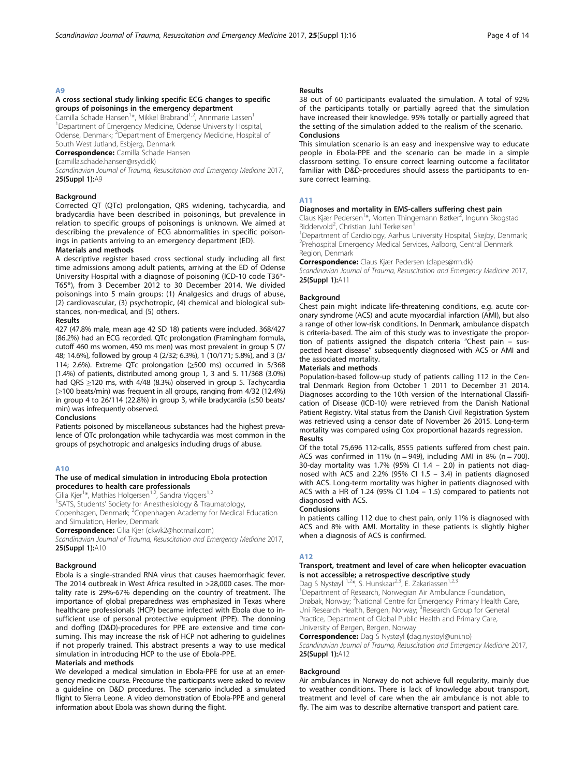# A cross sectional study linking specific ECG changes to specific groups of poisonings in the emergency department

Camilla Schade Hansen<sup>1</sup>\*, Mikkel Brabrand<sup>1,2</sup>, Annmarie Lassen<sup>1</sup> <sup>1</sup>Department of Emergency Medicine, Odense University Hospital, Odense, Denmark; <sup>2</sup>Department of Emergency Medicine, Hospital of South West Jutland, Esbjerg, Denmark

Correspondence: Camilla Schade Hansen

(camilla.schade.hansen@rsyd.dk)

Scandinavian Journal of Trauma, Resuscitation and Emergency Medicine 2017, 25(Suppl 1):A9

# Background

Corrected QT (QTc) prolongation, QRS widening, tachycardia, and bradycardia have been described in poisonings, but prevalence in relation to specific groups of poisonings is unknown. We aimed at describing the prevalence of ECG abnormalities in specific poisonings in patients arriving to an emergency department (ED).

# Materials and methods

A descriptive register based cross sectional study including all first time admissions among adult patients, arriving at the ED of Odense University Hospital with a diagnose of poisoning (ICD-10 code T36\*- T65\*), from 3 December 2012 to 30 December 2014. We divided poisonings into 5 main groups: (1) Analgesics and drugs of abuse, (2) cardiovascular, (3) psychotropic, (4) chemical and biological substances, non-medical, and (5) others.

# Results

427 (47.8% male, mean age 42 SD 18) patients were included. 368/427 (86.2%) had an ECG recorded. QTc prolongation (Framingham formula, cutoff 460 ms women, 450 ms men) was most prevalent in group 5 (7/ 48; 14.6%), followed by group 4 (2/32; 6.3%), 1 (10/171; 5.8%), and 3 (3/ 114; 2.6%). Extreme QTc prolongation (≥500 ms) occurred in 5/368 (1.4%) of patients, distributed among group 1, 3 and 5. 11/368 (3.0%) had QRS ≥120 ms, with 4/48 (8.3%) observed in group 5. Tachycardia (≥100 beats/min) was frequent in all groups, ranging from 4/32 (12.4%) in group 4 to 26/114 (22.8%) in group 3, while bradycardia (≤50 beats/ min) was infrequently observed.

# Conclusions

Patients poisoned by miscellaneous substances had the highest prevalence of QTc prolongation while tachycardia was most common in the groups of psychotropic and analgesics including drugs of abuse.

# A10

# The use of medical simulation in introducing Ebola protection procedures to health care professionals

Cilia Kjer<sup>1\*</sup>, Mathias Holgersen<sup>1,2</sup>, Sandra Viggers<sup>1,2</sup>

<sup>1</sup>SATS, Students' Society for Anesthesiology & Traumatology,

Copenhagen, Denmark; <sup>2</sup>Copenhagen Academy for Medical Education and Simulation, Herlev, Denmark

Correspondence: Cilia Kjer (ckwk2@hotmail.com)

Scandinavian Journal of Trauma, Resuscitation and Emergency Medicine 2017, 25(Suppl 1):A10

# Background

Ebola is a single-stranded RNA virus that causes haemorrhagic fever. The 2014 outbreak in West Africa resulted in >28,000 cases. The mortality rate is 29%-67% depending on the country of treatment. The importance of global preparedness was emphasized in Texas where healthcare professionals (HCP) became infected with Ebola due to insufficient use of personal protective equipment (PPE). The donning and doffing (D&D)-procedures for PPE are extensive and time consuming. This may increase the risk of HCP not adhering to guidelines if not properly trained. This abstract presents a way to use medical simulation in introducing HCP to the use of Ebola-PPE.

# Materials and methods

We developed a medical simulation in Ebola-PPE for use at an emergency medicine course. Precourse the participants were asked to review a guideline on D&D procedures. The scenario included a simulated flight to Sierra Leone. A video demonstration of Ebola-PPE and general information about Ebola was shown during the flight.

# Results

38 out of 60 participants evaluated the simulation. A total of 92% of the participants totally or partially agreed that the simulation have increased their knowledge. 95% totally or partially agreed that the setting of the simulation added to the realism of the scenario. **Conclusions** 

This simulation scenario is an easy and inexpensive way to educate people in Ebola-PPE and the scenario can be made in a simple classroom setting. To ensure correct learning outcome a facilitator familiar with D&D-procedures should assess the participants to ensure correct learning.

# A11

# Diagnoses and mortality in EMS-callers suffering chest pain

Claus Kjær Pedersen<sup>1\*</sup>, Morten Thingemann Bøtker<sup>2</sup>, Ingunn Skogstad Riddervold<sup>2</sup>, Christian Juhl Terkelsen<sup>1</sup>

<sup>1</sup>Department of Cardiology, Aarhus University Hospital, Skejby, Denmark; 2 Prehospital Emergency Medical Services, Aalborg, Central Denmark Region, Denmark

Correspondence: Claus Kjær Pedersen (clapes@rm.dk)

Scandinavian Journal of Trauma, Resuscitation and Emergency Medicine 2017, 25(Suppl 1):A11

# Background

Chest pain might indicate life-threatening conditions, e.g. acute coronary syndrome (ACS) and acute myocardial infarction (AMI), but also a range of other low-risk conditions. In Denmark, ambulance dispatch is criteria-based. The aim of this study was to investigate the proportion of patients assigned the dispatch criteria "Chest pain – suspected heart disease" subsequently diagnosed with ACS or AMI and the associated mortality.

# Materials and methods

Population-based follow-up study of patients calling 112 in the Central Denmark Region from October 1 2011 to December 31 2014. Diagnoses according to the 10th version of the International Classification of Disease (ICD-10) were retrieved from the Danish National Patient Registry. Vital status from the Danish Civil Registration System was retrieved using a censor date of November 26 2015. Long-term mortality was compared using Cox proportional hazards regression. Results

Of the total 75,696 112-calls, 8555 patients suffered from chest pain. ACS was confirmed in 11% ( $n = 949$ ), including AMI in 8% ( $n = 700$ ). 30-day mortality was 1.7% (95% Cl 1.4 – 2.0) in patients not diagnosed with ACS and 2.2% (95% CI 1.5 – 3.4) in patients diagnosed with ACS. Long-term mortality was higher in patients diagnosed with ACS with a HR of 1.24 (95% CI 1.04 – 1.5) compared to patients not diagnosed with ACS.

# Conclusions

In patients calling 112 due to chest pain, only 11% is diagnosed with ACS and 8% with AMI. Mortality in these patients is slightly higher when a diagnosis of ACS is confirmed.

# A12

# Transport, treatment and level of care when helicopter evacuation is not accessible; a retrospective descriptive study

Dag S Nystøyl  $1,2^*$ , S. Hunskaar<sup>2,3</sup>, E. Zakariassen<sup>1,</sup>

<sup>1</sup>Department of Research, Norwegian Air Ambulance Foundation Drøbak, Norway; <sup>2</sup>National Centre for Emergency Primary Health Care, Uni Research Health, Bergen, Norway; <sup>3</sup>Research Group for General Practice, Department of Global Public Health and Primary Care, University of Bergen, Bergen, Norway

Correspondence: Dag S Nystøyl (dag.nystoyl@uni.no) Scandinavian Journal of Trauma, Resuscitation and Emergency Medicine 2017, 25(Suppl 1):A12

# Background

Air ambulances in Norway do not achieve full regularity, mainly due to weather conditions. There is lack of knowledge about transport, treatment and level of care when the air ambulance is not able to fly. The aim was to describe alternative transport and patient care.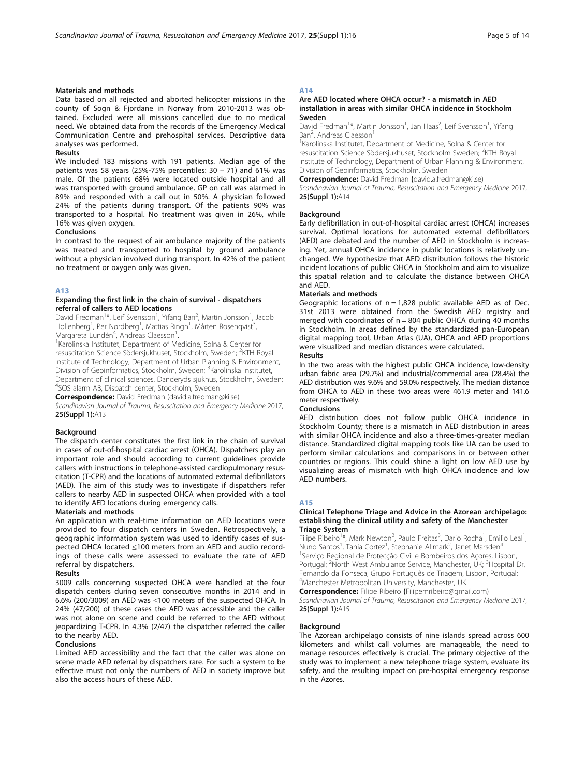# Materials and methods

Data based on all rejected and aborted helicopter missions in the county of Sogn & Fjordane in Norway from 2010-2013 was obtained. Excluded were all missions cancelled due to no medical need. We obtained data from the records of the Emergency Medical Communication Centre and prehospital services. Descriptive data analyses was performed.

#### Results

We included 183 missions with 191 patients. Median age of the patients was 58 years (25%-75% percentiles: 30 – 71) and 61% was male. Of the patients 68% were located outside hospital and all was transported with ground ambulance. GP on call was alarmed in 89% and responded with a call out in 50%. A physician followed 24% of the patients during transport. Of the patients 90% was transported to a hospital. No treatment was given in 26%, while 16% was given oxygen.

# Conclusions

In contrast to the request of air ambulance majority of the patients was treated and transported to hospital by ground ambulance without a physician involved during transport. In 42% of the patient no treatment or oxygen only was given.

#### A13

# Expanding the first link in the chain of survival - dispatchers referral of callers to AED locations

David Fredman<sup>1\*</sup>, Leif Svensson<sup>1</sup>, Yifang Ban<sup>2</sup>, Martin Jonsson<sup>1</sup>, Jacob Hollenberg<sup>1</sup>, Per Nordberg<sup>1</sup>, Mattias Ringh<sup>1</sup>, Mårten Rosenqvist<sup>3</sup> , Margareta Lundén<sup>4</sup>, Andreas Claesson<sup>1</sup>.<br><sup>1</sup>Karolinska Institutet, Department of M

<sup>1</sup> Karolinska Institutet, Department of Medicine, Solna & Center for resuscitation Science Södersjukhuset, Stockholm, Sweden; <sup>2</sup>KTH Royal Institute of Technology, Department of Urban Planning & Environment, Division of Geoinformatics, Stockholm, Sweden; <sup>3</sup>Karolinska Institutet, Department of clinical sciences, Danderyds sjukhus, Stockholm, Sweden; 4 SOS alarm AB, Dispatch center, Stockholm, Sweden

Correspondence: David Fredman (david.a.fredman@ki.se)

Scandinavian Journal of Trauma, Resuscitation and Emergency Medicine 2017, 25(Suppl 1):A13

#### **Background**

The dispatch center constitutes the first link in the chain of survival in cases of out-of-hospital cardiac arrest (OHCA). Dispatchers play an important role and should according to current guidelines provide callers with instructions in telephone-assisted cardiopulmonary resuscitation (T-CPR) and the locations of automated external defibrillators (AED). The aim of this study was to investigate if dispatchers refer callers to nearby AED in suspected OHCA when provided with a tool to identify AED locations during emergency calls.

#### Materials and methods

An application with real-time information on AED locations were provided to four dispatch centers in Sweden. Retrospectively, a geographic information system was used to identify cases of suspected OHCA located ≤100 meters from an AED and audio recordings of these calls were assessed to evaluate the rate of AED referral by dispatchers.

#### Results

3009 calls concerning suspected OHCA were handled at the four dispatch centers during seven consecutive months in 2014 and in 6.6% (200/3009) an AED was ≤100 meters of the suspected OHCA. In 24% (47/200) of these cases the AED was accessible and the caller was not alone on scene and could be referred to the AED without jeopardizing T-CPR. In 4.3% (2/47) the dispatcher referred the caller to the nearby AED.

#### Conclusions

Limited AED accessibility and the fact that the caller was alone on scene made AED referral by dispatchers rare. For such a system to be effective must not only the numbers of AED in society improve but also the access hours of these AED.

# A14

# Are AED located where OHCA occur? - a mismatch in AED installation in areas with similar OHCA incidence in Stockholm Sweden

David Fredman<sup>1\*</sup>, Martin Jonsson<sup>1</sup>, Jan Haas<sup>2</sup>, Leif Svensson<sup>1</sup>, Yifang Ban<sup>2</sup>, Andreas Claesson<sup>1</sup>

<sup>1</sup> Karolinska Institutet, Department of Medicine, Solna & Center for resuscitation Science Södersjukhuset, Stockholm Sweden; <sup>2</sup>KTH Royal Institute of Technology, Department of Urban Planning & Environment, Division of Geoinformatics, Stockholm, Sweden

Correspondence: David Fredman (david.a.fredman@ki.se)

Scandinavian Journal of Trauma, Resuscitation and Emergency Medicine 2017, 25(Suppl 1):A14

#### Background

Early defibrillation in out-of-hospital cardiac arrest (OHCA) increases survival. Optimal locations for automated external defibrillators (AED) are debated and the number of AED in Stockholm is increasing. Yet, annual OHCA incidence in public locations is relatively unchanged. We hypothesize that AED distribution follows the historic incident locations of public OHCA in Stockholm and aim to visualize this spatial relation and to calculate the distance between OHCA and AED.

# Materials and methods

Geographic locations of  $n = 1,828$  public available AED as of Dec. 31st 2013 were obtained from the Swedish AED registry and merged with coordinates of  $n = 804$  public OHCA during 40 months in Stockholm. In areas defined by the standardized pan-European digital mapping tool, Urban Atlas (UA), OHCA and AED proportions were visualized and median distances were calculated.

Results

In the two areas with the highest public OHCA incidence, low-density urban fabric area (29.7%) and industrial/commercial area (28.4%) the AED distribution was 9.6% and 59.0% respectively. The median distance from OHCA to AED in these two areas were 461.9 meter and 141.6 meter respectively.

#### Conclusions

AED distribution does not follow public OHCA incidence in Stockholm County; there is a mismatch in AED distribution in areas with similar OHCA incidence and also a three-times-greater median distance. Standardized digital mapping tools like UA can be used to perform similar calculations and comparisons in or between other countries or regions. This could shine a light on low AED use by visualizing areas of mismatch with high OHCA incidence and low AED numbers.

#### A15

#### Clinical Telephone Triage and Advice in the Azorean archipelago: establishing the clinical utility and safety of the Manchester Triage System

Filipe Ribeiro<sup>1\*</sup>, Mark Newton<sup>2</sup>, Paulo Freitas<sup>3</sup>, Dario Rocha<sup>1</sup>, Emilio Leal<sup>1</sup> , Nuno Santos<sup>1</sup>, Tania Cortez<sup>1</sup>, Stephanie Allmark<sup>2</sup>, Janet Marsden<sup>4</sup> 1 Serviço Regional de Protecção Civil e Bombeiros dos Açores, Lisbon, Portugal; <sup>2</sup>North West Ambulance Service, Manchester, UK; <sup>3</sup>Hospital Dr Fernando da Fonseca, Grupo Português de Triagem, Lisbon, Portugal; 4 Manchester Metropolitan University, Manchester, UK

Correspondence: Filipe Ribeiro (Filipemribeiro@gmail.com)

Scandinavian Journal of Trauma, Resuscitation and Emergency Medicine 2017, 25(Suppl 1):A15

#### **Background**

The Azorean archipelago consists of nine islands spread across 600 kilometers and whilst call volumes are manageable, the need to manage resources effectively is crucial. The primary objective of the study was to implement a new telephone triage system, evaluate its safety, and the resulting impact on pre-hospital emergency response in the Azores.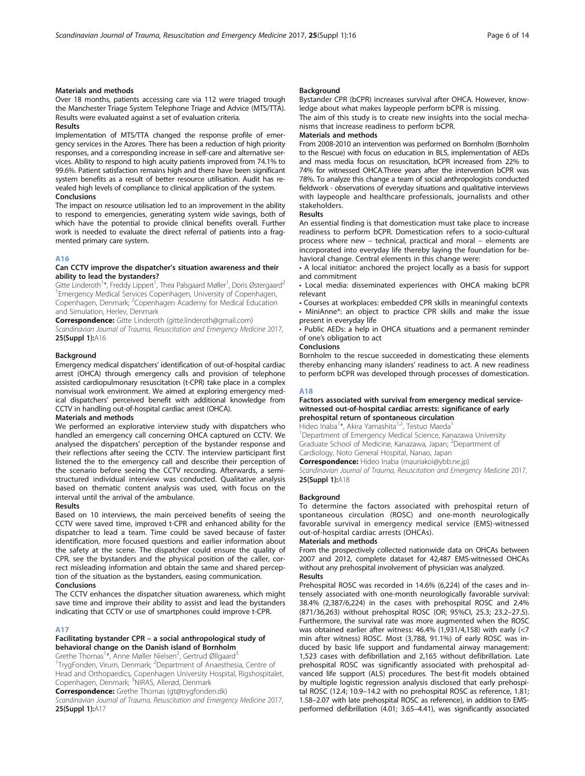# Materials and methods

Over 18 months, patients accessing care via 112 were triaged trough the Manchester Triage System Telephone Triage and Advice (MTS/TTA). Results were evaluated against a set of evaluation criteria.

# Results

Implementation of MTS/TTA changed the response profile of emergency services in the Azores. There has been a reduction of high priority responses, and a corresponding increase in self-care and alternative services. Ability to respond to high acuity patients improved from 74.1% to 99.6%. Patient satisfaction remains high and there have been significant system benefits as a result of better resource utilisation. Audit has revealed high levels of compliance to clinical application of the system. Conclusions

The impact on resource utilisation led to an improvement in the ability to respond to emergencies, generating system wide savings, both of which have the potential to provide clinical benefits overall. Further work is needed to evaluate the direct referral of patients into a fragmented primary care system.

# A16

# Can CCTV improve the dispatcher's situation awareness and their ability to lead the bystanders?

Gitte Linderoth<sup>1\*</sup>, Freddy Lippert<sup>1</sup>, Thea Palsgaard Møller<sup>1</sup>, Doris Østergaard<sup>2</sup> <sup>1</sup> Emergency Medical Services Copenhagen, University of Copenhagen, Copenhagen, Denmark; <sup>2</sup>Copenhagen Academy for Medical Education and Simulation, Herlev, Denmark

Correspondence: Gitte Linderoth (gitte.linderoth@gmail.com)

Scandinavian Journal of Trauma, Resuscitation and Emergency Medicine 2017, 25(Suppl 1):A16

#### **Background**

Emergency medical dispatchers' identification of out-of-hospital cardiac arrest (OHCA) through emergency calls and provision of telephone assisted cardiopulmonary resuscitation (t-CPR) take place in a complex nonvisual work environment. We aimed at exploring emergency medical dispatchers' perceived benefit with additional knowledge from CCTV in handling out-of-hospital cardiac arrest (OHCA).

# Materials and methods

We performed an explorative interview study with dispatchers who handled an emergency call concerning OHCA captured on CCTV. We analysed the dispatchers' perception of the bystander response and their reflections after seeing the CCTV. The interview participant first listened the to the emergency call and describe their perception of the scenario before seeing the CCTV recording. Afterwards, a semistructured individual interview was conducted. Qualitative analysis based on thematic content analysis was used, with focus on the interval until the arrival of the ambulance.

# Results

Based on 10 interviews, the main perceived benefits of seeing the CCTV were saved time, improved t-CPR and enhanced ability for the dispatcher to lead a team. Time could be saved because of faster identification, more focused questions and earlier information about the safety at the scene. The dispatcher could ensure the quality of CPR, see the bystanders and the physical position of the caller, correct misleading information and obtain the same and shared perception of the situation as the bystanders, easing communication.

# Conclusions

The CCTV enhances the dispatcher situation awareness, which might save time and improve their ability to assist and lead the bystanders indicating that CCTV or use of smartphones could improve t-CPR.

# A17

# Facilitating bystander CPR – a social anthropological study of behavioral change on the Danish island of Bornholm

Grethe Thomas<sup>1\*</sup>, Anne Møller Nielsen<sup>2</sup>, Gertrud Øllgaard<sup>3</sup>

<sup>1</sup>TrygFonden, Virum, Denmark; <sup>2</sup>Department of Anaesthesia, Centre of Head and Orthopaedics, Copenhagen University Hospital, Rigshospitalet, Copenhagen, Denmark; <sup>3</sup>NIRAS, Allerød, Denmark

Correspondence: Grethe Thomas (gt@trygfonden.dk)

Scandinavian Journal of Trauma, Resuscitation and Emergency Medicine 2017, 25(Suppl 1):A17

# Background

Bystander CPR (bCPR) increases survival after OHCA. However, knowledge about what makes laypeople perform bCPR is missing.

The aim of this study is to create new insights into the social mechanisms that increase readiness to perform bCPR.

# Materials and methods

From 2008-2010 an intervention was performed on Bornholm (Bornholm to the Rescue) with focus on education in BLS, implementation of AEDs and mass media focus on resuscitation, bCPR increased from 22% to 74% for witnessed OHCA.Three years after the intervention bCPR was 78%. To analyze this change a team of social anthropologists conducted fieldwork - observations of everyday situations and qualitative interviews with laypeople and healthcare professionals, journalists and other stakeholders.

#### Results

An essential finding is that domestication must take place to increase readiness to perform bCPR. Domestication refers to a socio-cultural process where new – technical, practical and moral – elements are incorporated into everyday life thereby laying the foundation for behavioral change. Central elements in this change were:

• A local initiator: anchored the project locally as a basis for support and commitment

- Local media: disseminated experiences with OHCA making bCPR relevant
- Courses at workplaces: embedded CPR skills in meaningful contexts
- MiniAnne®: an object to practice CPR skills and make the issue present in everyday life

• Public AEDs: a help in OHCA situations and a permanent reminder of one's obligation to act

# **Conclusions**

Bornholm to the rescue succeeded in domesticating these elements thereby enhancing many islanders' readiness to act. A new readiness to perform bCPR was developed through processes of domestication.

#### A18

# Factors associated with survival from emergency medical servicewitnessed out-of-hospital cardiac arrests: significance of early prehospital return of spontaneous circulation

Hideo Inaba<sup>1\*</sup>, Akira Yamashita<sup>1,2</sup>, Testuo Maeda<sup>1</sup>

<sup>1</sup>Department of Emergency Medical Science, Kanazawa University Graduate School of Medicine, Kanazawa, Japan; <sup>2</sup>Department of Cardiology, Noto General Hospital, Nanao, Japan

Correspondence: Hideo Inaba (mauriakoi@ybb.ne.jp)

Scandinavian Journal of Trauma, Resuscitation and Emergency Medicine 2017, 25(Suppl 1):A18

#### Background

To determine the factors associated with prehospital return of spontaneous circulation (ROSC) and one-month neurologically favorable survival in emergency medical service (EMS)-witnessed out-of-hospital cardiac arrests (OHCAs).

# Materials and methods

From the prospectively collected nationwide data on OHCAs between 2007 and 2012, complete dataset for 42,487 EMS-witnessed OHCAs without any prehospital involvement of physician was analyzed. Results

Prehospital ROSC was recorded in 14.6% (6,224) of the cases and intensely associated with one-month neurologically favorable survival: 38.4% (2,387/6,224) in the cases with prehospital ROSC and 2.4% (871/36,263) without prehospital ROSC (OR; 95%CI, 25.3; 23.2–27.5). Furthermore, the survival rate was more augmented when the ROSC was obtained earlier after witness: 46.4% (1,931/4,158) with early (<7 min after witness) ROSC. Most (3,788, 91.1%) of early ROSC was induced by basic life support and fundamental airway management: 1,523 cases with defibrillation and 2,165 without defibrillation. Late prehospital ROSC was significantly associated with prehospital advanced life support (ALS) procedures. The best-fit models obtained by multiple logistic regression analysis disclosed that early prehospital ROSC (12.4; 10.9–14.2 with no prehospital ROSC as reference, 1.81; 1.58–2.07 with late prehospital ROSC as reference), in addition to EMSperformed defibrillation (4.01; 3.65–4.41), was significantly associated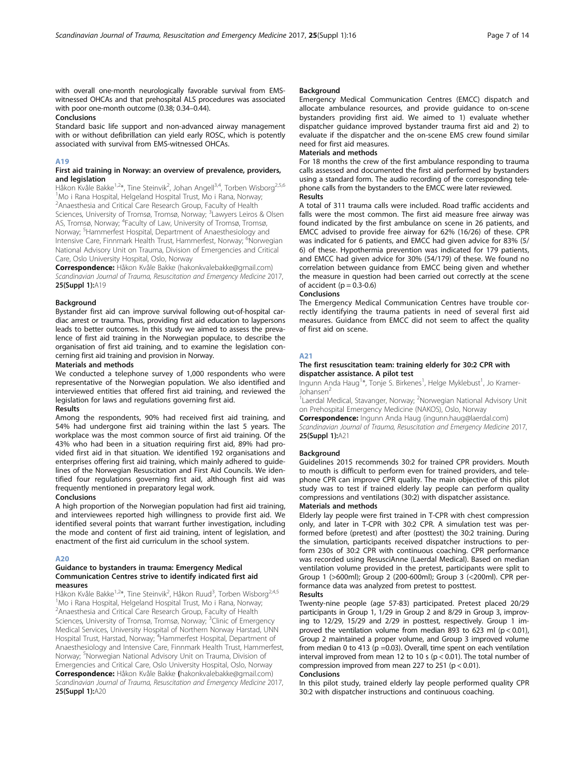with overall one-month neurologically favorable survival from EMSwitnessed OHCAs and that prehospital ALS procedures was associated with poor one-month outcome (0.38; 0.34–0.44).

# Conclusions

Standard basic life support and non-advanced airway management with or without defibrillation can yield early ROSC, which is potently associated with survival from EMS-witnessed OHCAs.

# A19

# First aid training in Norway: an overview of prevalence, providers, and legislation

Håkon Kvåle Bakke<sup>1,2\*</sup>, Tine Steinvik<sup>2</sup>, Johan Angell<sup>3,4</sup>, Torben Wisborg<sup>2,5,6</sup> 1 Mo i Rana Hospital, Helgeland Hospital Trust, Mo i Rana, Norway; 2 Anaesthesia and Critical Care Research Group, Faculty of Health Sciences, University of Tromsø, Tromsø, Norway; <sup>3</sup>Lawyers Leiros & Olsen AS, Tromsø, Norway; <sup>4</sup> Faculty of Law, University of Tromsø, Tromsø, Norway; <sup>5</sup>Hammerfest Hospital, Department of Anaesthesiology and Intensive Care, Finnmark Health Trust, Hammerfest, Norway; <sup>6</sup>Norwegian National Advisory Unit on Trauma, Division of Emergencies and Critical Care, Oslo University Hospital, Oslo, Norway

Correspondence: Håkon Kvåle Bakke (hakonkvalebakke@gmail.com) Scandinavian Journal of Trauma, Resuscitation and Emergency Medicine 2017, 25(Suppl 1):A19

#### Background

Bystander first aid can improve survival following out-of-hospital cardiac arrest or trauma. Thus, providing first aid education to laypersons leads to better outcomes. In this study we aimed to assess the prevalence of first aid training in the Norwegian populace, to describe the organisation of first aid training, and to examine the legislation concerning first aid training and provision in Norway.

# Materials and methods

We conducted a telephone survey of 1,000 respondents who were representative of the Norwegian population. We also identified and interviewed entities that offered first aid training, and reviewed the legislation for laws and regulations governing first aid.

# Results

Among the respondents, 90% had received first aid training, and 54% had undergone first aid training within the last 5 years. The workplace was the most common source of first aid training. Of the 43% who had been in a situation requiring first aid, 89% had provided first aid in that situation. We identified 192 organisations and enterprises offering first aid training, which mainly adhered to guidelines of the Norwegian Resuscitation and First Aid Councils. We identified four regulations governing first aid, although first aid was frequently mentioned in preparatory legal work.

# **Conclusions**

A high proportion of the Norwegian population had first aid training, and interviewees reported high willingness to provide first aid. We identified several points that warrant further investigation, including the mode and content of first aid training, intent of legislation, and enactment of the first aid curriculum in the school system.

# A20

# Guidance to bystanders in trauma: Emergency Medical Communication Centres strive to identify indicated first aid measures

Håkon Kvåle Bakke<sup>1,2</sup>\*, Tine Steinvik<sup>2</sup>, Håkon Ruud<sup>3</sup>, Torben Wisborg<sup>2,4,5</sup> <sup>1</sup>Mo i Rana Hospital, Helgeland Hospital Trust, Mo i Rana, Norway; 2 Anaesthesia and Critical Care Research Group, Faculty of Health Sciences, University of Tromsø, Tromsø, Norway; <sup>3</sup>Clinic of Emergency Medical Services, University Hospital of Northern Norway Harstad, UNN Hospital Trust, Harstad, Norway; <sup>4</sup>Hammerfest Hospital, Department of Anaesthesiology and Intensive Care, Finnmark Health Trust, Hammerfest, Norway; <sup>5</sup>Norwegian National Advisory Unit on Trauma, Division of Emergencies and Critical Care, Oslo University Hospital, Oslo, Norway Correspondence: Håkon Kvåle Bakke (hakonkvalebakke@gmail.com) Scandinavian Journal of Trauma, Resuscitation and Emergency Medicine 2017, 25(Suppl 1):A20

# Background

Emergency Medical Communication Centres (EMCC) dispatch and allocate ambulance resources, and provide guidance to on-scene bystanders providing first aid. We aimed to 1) evaluate whether dispatcher guidance improved bystander trauma first aid and 2) to evaluate if the dispatcher and the on-scene EMS crew found similar need for first aid measures.

#### Materials and methods

For 18 months the crew of the first ambulance responding to trauma calls assessed and documented the first aid performed by bystanders using a standard form. The audio recording of the corresponding telephone calls from the bystanders to the EMCC were later reviewed. Results

A total of 311 trauma calls were included. Road traffic accidents and falls were the most common. The first aid measure free airway was found indicated by the first ambulance on scene in 26 patients, and EMCC advised to provide free airway for 62% (16/26) of these. CPR was indicated for 6 patients, and EMCC had given advice for 83% (5/ 6) of these. Hypothermia prevention was indicated for 179 patients, and EMCC had given advice for 30% (54/179) of these. We found no correlation between guidance from EMCC being given and whether the measure in question had been carried out correctly at the scene of accident ( $p = 0.3-0.6$ )

#### Conclusions

The Emergency Medical Communication Centres have trouble correctly identifying the trauma patients in need of several first aid measures. Guidance from EMCC did not seem to affect the quality of first aid on scene.

# A<sub>21</sub>

# The first resuscitation team: training elderly for 30:2 CPR with dispatcher assistance. A pilot test

Ingunn Anda Haug<sup>1</sup>\*, Tonje S. Birkenes<sup>1</sup>, Helge Myklebust<sup>1</sup>, Jo Kramer-Johansen<sup>2</sup>

<sup>1</sup> Laerdal Medical, Stavanger, Norway; <sup>2</sup> Norwegian National Advisory Unit on Prehospital Emergency Medicine (NAKOS), Oslo, Norway

Correspondence: Ingunn Anda Haug (ingunn.haug@laerdal.com)

Scandinavian Journal of Trauma, Resuscitation and Emergency Medicine 2017, 25(Suppl 1):A21

# **Background**

Guidelines 2015 recommends 30:2 for trained CPR providers. Mouth to mouth is difficult to perform even for trained providers, and telephone CPR can improve CPR quality. The main objective of this pilot study was to test if trained elderly lay people can perform quality compressions and ventilations (30:2) with dispatcher assistance.

# Materials and methods

Elderly lay people were first trained in T-CPR with chest compression only, and later in T-CPR with 30:2 CPR. A simulation test was performed before (pretest) and after (posttest) the 30:2 training. During the simulation, participants received dispatcher instructions to perform 230s of 30:2 CPR with continuous coaching. CPR performance was recorded using ResusciAnne (Laerdal Medical). Based on median ventilation volume provided in the pretest, participants were split to Group 1 (>600ml); Group 2 (200-600ml); Group 3 (<200ml). CPR performance data was analyzed from pretest to posttest.

#### Results

Twenty-nine people (age 57-83) participated. Pretest placed 20/29 participants in Group 1, 1/29 in Group 2 and 8/29 in Group 3, improving to 12/29, 15/29 and 2/29 in posttest, respectively. Group 1 improved the ventilation volume from median 893 to 623 ml ( $p < 0.01$ ), Group 2 maintained a proper volume, and Group 3 improved volume from median 0 to 413 ( $p = 0.03$ ). Overall, time spent on each ventilation interval improved from mean 12 to 10 s ( $p < 0.01$ ). The total number of compression improved from mean 227 to 251 ( $p < 0.01$ ).

#### Conclusions

In this pilot study, trained elderly lay people performed quality CPR 30:2 with dispatcher instructions and continuous coaching.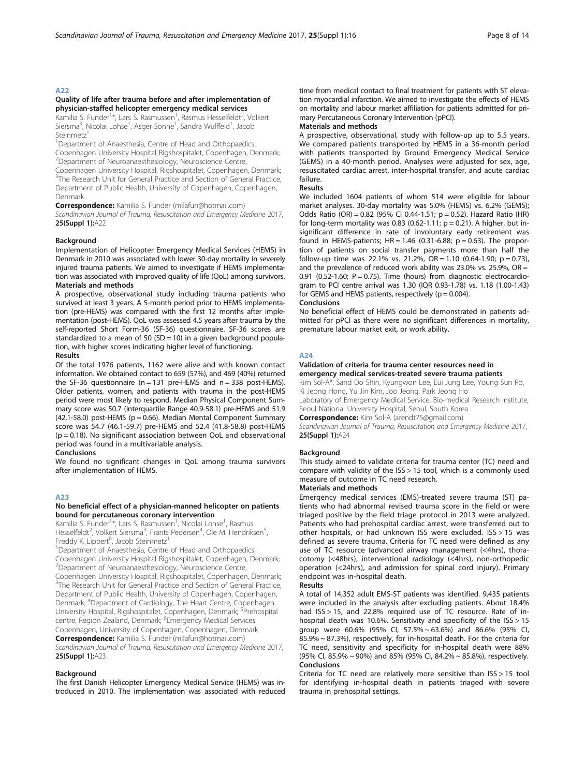# Quality of life after trauma before and after implementation of physician-staffed helicopter emergency medical services

Kamilia S. Funder<sup>1\*</sup>, Lars S. Rasmussen<sup>1</sup>, Rasmus Hesselfeldt<sup>2</sup>, Volkert Siersma<sup>3</sup>, Nicolai Lohse<sup>1</sup>, Asger Sonne<sup>1</sup>, Sandra Wulffeld<sup>1</sup>, Jacob Steinmetz<sup>1</sup>

<sup>1</sup>Department of Anaesthesia, Centre of Head and Orthopaedics, Copenhagen University Hospital Rigshospitalet, Copenhagen, Denmark; 2 Department of Neuroanaesthesiology, Neuroscience Centre,

Copenhagen University Hospital, Rigshospitalet, Copenhagen, Denmark; <sup>3</sup>The Research Unit for General Practice and Section of General Practice, Department of Public Health, University of Copenhagen, Copenhagen, Denmark

Correspondence: Kamilia S. Funder (milafun@hotmail.com)

Scandinavian Journal of Trauma, Resuscitation and Emergency Medicine 2017, 25(Suppl 1):A22

# Background

Implementation of Helicopter Emergency Medical Services (HEMS) in Denmark in 2010 was associated with lower 30-day mortality in severely injured trauma patients. We aimed to investigate if HEMS implementation was associated with improved quality of life (QoL) among survivors. Materials and methods

A prospective, observational study including trauma patients who survived at least 3 years. A 5-month period prior to HEMS implementation (pre-HEMS) was compared with the first 12 months after implementation (post-HEMS). QoL was assessed 4.5 years after trauma by the self-reported Short Form-36 (SF-36) questionnaire. SF-36 scores are standardized to a mean of 50 ( $SD = 10$ ) in a given background population, with higher scores indicating higher level of functioning. Results

Of the total 1976 patients, 1162 were alive and with known contact information. We obtained contact to 659 (57%), and 469 (40%) returned the SF-36 questionnaire ( $n = 131$  pre-HEMS and  $n = 338$  post-HEMS). Older patients, women, and patients with trauma in the post-HEMS period were most likely to respond. Median Physical Component Summary score was 50.7 (Interquartile Range 40.9-58.1) pre-HEMS and 51.9  $(42.1-58.0)$  post-HEMS ( $p = 0.66$ ). Median Mental Component Summary score was 54.7 (46.1-59.7) pre-HEMS and 52.4 (41.8-58.8) post-HEMS  $(p = 0.18)$ . No significant association between QoL and observational period was found in a multivariable analysis.

# Conclusions

We found no significant changes in QoL among trauma survivors after implementation of HEMS.

#### A23

# No beneficial effect of a physician-manned helicopter on patients bound for percutaneous coronary intervention

Kamilia S. Funder<sup>1\*</sup>, Lars S. Rasmussen<sup>1</sup>, Nicolai Lohse<sup>1</sup>, Rasmus Hesselfeldt<sup>2</sup>, Volkert Siersma<sup>3</sup>, Frants Pedersen<sup>4</sup>, Ole M. Hendriksen<sup>5</sup> , Freddy K. Lippert<sup>6</sup>, Jacob Steinmetz<sup>1</sup>

<sup>1</sup>Department of Anaesthesia, Centre of Head and Orthopaedics, Copenhagen University Hospital Rigshospitalet, Copenhagen, Denmark; 2 Department of Neuroanaesthesiology, Neuroscience Centre,

Copenhagen University Hospital, Rigshospitalet, Copenhagen, Denmark; <sup>3</sup>The Research Unit for General Practice and Section of General Practice, Department of Public Health, University of Copenhagen, Copenhagen, Denmark; <sup>4</sup> Department of Cardiology, The Heart Centre, Copenhagen University Hospital, Rigshospitalet, Copenhagen, Denmark; <sup>5</sup>Prehospital centre, Region Zealand, Denmark; <sup>6</sup>Emergency Medical Services Copenhagen, University of Copenhagen, Copenhagen, Denmark

Correspondence: Kamilia S. Funder (milafun@hotmail.com) Scandinavian Journal of Trauma, Resuscitation and Emergency Medicine 2017, 25(Suppl 1):A23

#### Background

The first Danish Helicopter Emergency Medical Service (HEMS) was introduced in 2010. The implementation was associated with reduced time from medical contact to final treatment for patients with ST elevation myocardial infarction. We aimed to investigate the effects of HEMS on mortality and labour market affiliation for patients admitted for primary Percutaneous Coronary Intervention (pPCI).

# Materials and methods

A prospective, observational, study with follow-up up to 5.5 years. We compared patients transported by HEMS in a 36-month period with patients transported by Ground Emergency Medical Service (GEMS) in a 40-month period. Analyses were adjusted for sex, age, resuscitated cardiac arrest, inter-hospital transfer, and acute cardiac failure.

#### Results

We included 1604 patients of whom 514 were eligible for labour market analyses. 30-day mortality was 5.0% (HEMS) vs. 6.2% (GEMS); Odds Ratio (OR) = 0.82 (95% CI 0.44-1.51; p = 0.52). Hazard Ratio (HR) for long-term mortality was 0.83 (0.62-1.11;  $p = 0.21$ ). A higher, but insignificant difference in rate of involuntary early retirement was found in HEMS-patients;  $HR = 1.46$  (0.31-6.88;  $p = 0.63$ ). The proportion of patients on social transfer payments more than half the follow-up time was 22.1% vs. 21.2%,  $OR = 1.10$  (0.64-1.90; p = 0.73), and the prevalence of reduced work ability was 23.0% vs. 25.9%, OR = 0.91 (0.52-1.60;  $P = 0.75$ ). Time (hours) from diagnostic electrocardiogram to PCI centre arrival was 1.30 (IQR 0.93-1.78) vs. 1.18 (1.00-1.43) for GEMS and HEMS patients, respectively ( $p = 0.004$ ).

# Conclusions

No beneficial effect of HEMS could be demonstrated in patients admitted for pPCI as there were no significant differences in mortality, premature labour market exit, or work ability.

# A24

# Validation of criteria for trauma center resources need in emergency medical services-treated severe trauma patients

Kim Sol-A\*, Sand Do Shin, Kyungwon Lee, Eui Jung Lee, Young Sun Ro, Ki Jeong Hong, Yu Jin Kim, Joo Jeong, Park Jeong Ho

Laboratory of Emergency Medical Service, Bio-medical Research Institute, Seoul National University Hospital, Seoul, South Korea

Correspondence: Kim Sol-A (arendt75@gmail.com)

Scandinavian Journal of Trauma, Resuscitation and Emergency Medicine 2017, 25(Suppl 1):A24

# **Background**

This study aimed to validate criteria for trauma center (TC) need and compare with validity of the ISS > 15 tool, which is a commonly used measure of outcome in TC need research.

# Materials and methods

Emergency medical services (EMS)-treated severe trauma (ST) patients who had abnormal revised trauma score in the field or were triaged positive by the field triage protocol in 2013 were analyzed. Patients who had prehospital cardiac arrest, were transferred out to other hospitals, or had unknown ISS were excluded. ISS > 15 was defined as severe trauma. Criteria for TC need were defined as any use of TC resource (advanced airway management (<4hrs), thoracotomy (<48hrs), interventional radiology (<4hrs), non-orthopedic operation (<24hrs), and admission for spinal cord injury). Primary endpoint was in-hospital death.

#### Results

A total of 14,352 adult EMS-ST patients was identified. 9,435 patients were included in the analysis after excluding patients. About 18.4% had ISS > 15, and 22.8% required use of TC resource. Rate of inhospital death was 10.6%. Sensitivity and specificity of the ISS > 15 group were 60.6% (95% CI, 57.5% ~ 63.6%) and 86.6% (95% CI, 85.9% ~ 87.3%), respectively, for in-hospital death. For the criteria for TC need, sensitivity and specificity for in-hospital death were 88% (95% CI, 85.9% ~ 90%) and 85% (95% CI, 84.2% ~ 85.8%), respectively. Conclusions

Criteria for TC need are relatively more sensitive than ISS > 15 tool for identifying in-hospital death in patients triaged with severe trauma in prehospital settings.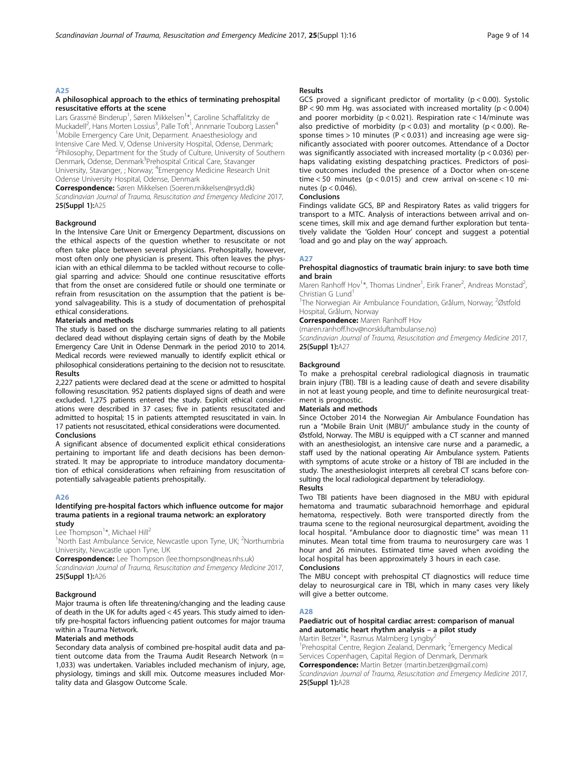# A<sub>25</sub>

# A philosophical approach to the ethics of terminating prehospital resuscitative efforts at the scene

Lars Grassmé Binderup<sup>1</sup>, Søren Mikkelsen<sup>1\*</sup>, Caroline Schaffalitzky de Muckadell<sup>2</sup>, Hans Morten Lossius<sup>3</sup>, Palle Toft<sup>1</sup>, Annmarie Touborg Lassen<sup>4</sup> <sup>1</sup>Mobile Emergency Care Unit, Deparment. Anaesthesiology and Intensive Care Med. V, Odense University Hospital, Odense, Denmark; <sup>2</sup>Philosophy, Department for the Study of Culture, University of Southern Denmark, Odense, Denmark<sup>3</sup>Prehospital Critical Care, Stavanger University, Stavanger, ; Norway; <sup>4</sup>Emergency Medicine Research Unit Odense University Hospital, Odense, Denmark

Correspondence: Søren Mikkelsen (Soeren.mikkelsen@rsyd.dk)

Scandinavian Journal of Trauma, Resuscitation and Emergency Medicine 2017, 25(Suppl 1):A25

# Background

In the Intensive Care Unit or Emergency Department, discussions on the ethical aspects of the question whether to resuscitate or not often take place between several physicians. Prehospitally, however, most often only one physician is present. This often leaves the physician with an ethical dilemma to be tackled without recourse to collegial sparring and advice: Should one continue resuscitative efforts that from the onset are considered futile or should one terminate or refrain from resuscitation on the assumption that the patient is beyond salvageability. This is a study of documentation of prehospital ethical considerations.

# Materials and methods

The study is based on the discharge summaries relating to all patients declared dead without displaying certain signs of death by the Mobile Emergency Care Unit in Odense Denmark in the period 2010 to 2014. Medical records were reviewed manually to identify explicit ethical or philosophical considerations pertaining to the decision not to resuscitate. Results

2,227 patients were declared dead at the scene or admitted to hospital following resuscitation. 952 patients displayed signs of death and were excluded. 1,275 patients entered the study. Explicit ethical considerations were described in 37 cases; five in patients resuscitated and admitted to hospital; 15 in patients attempted resuscitated in vain. In 17 patients not resuscitated, ethical considerations were documented. Conclusions

A significant absence of documented explicit ethical considerations pertaining to important life and death decisions has been demonstrated. It may be appropriate to introduce mandatory documentation of ethical considerations when refraining from resuscitation of potentially salvageable patients prehospitally.

#### A26

# Identifying pre-hospital factors which influence outcome for major trauma patients in a regional trauma network: an exploratory study

Lee Thompson<sup>1\*</sup>, Michael Hill<sup>2</sup>

<sup>1</sup>North East Ambulance Service, Newcastle upon Tyne, UK; <sup>2</sup>Northumbria University, Newcastle upon Tyne, UK

Correspondence: Lee Thompson (lee.thompson@neas.nhs.uk)

Scandinavian Journal of Trauma, Resuscitation and Emergency Medicine 2017, 25(Suppl 1):A26

#### Background

Major trauma is often life threatening/changing and the leading cause of death in the UK for adults aged < 45 years. This study aimed to identify pre-hospital factors influencing patient outcomes for major trauma within a Trauma Network.

# Materials and methods

Secondary data analysis of combined pre-hospital audit data and patient outcome data from the Trauma Audit Research Network (n = 1,033) was undertaken. Variables included mechanism of injury, age, physiology, timings and skill mix. Outcome measures included Mortality data and Glasgow Outcome Scale.

# Results

GCS proved a significant predictor of mortality ( $p < 0.00$ ). Systolic  $BP < 90$  mm Hg. was associated with increased mortality ( $p < 0.004$ ) and poorer morbidity (p < 0.021). Respiration rate < 14/minute was also predictive of morbidity ( $p < 0.03$ ) and mortality ( $p < 0.00$ ). Response times > 10 minutes ( $P < 0.031$ ) and increasing age were significantly associated with poorer outcomes. Attendance of a Doctor was significantly associated with increased mortality ( $p < 0.036$ ) perhaps validating existing despatching practices. Predictors of positive outcomes included the presence of a Doctor when on-scene time  $<$  50 minutes (p  $<$  0.015) and crew arrival on-scene  $<$  10 minutes (p < 0.046).

#### **Conclusions**

Findings validate GCS, BP and Respiratory Rates as valid triggers for transport to a MTC. Analysis of interactions between arrival and onscene times, skill mix and age demand further exploration but tentatively validate the 'Golden Hour' concept and suggest a potential 'load and go and play on the way' approach.

# A27

# Prehospital diagnostics of traumatic brain injury: to save both time and brain

Maren Ranhoff Hov<sup>1\*</sup>, Thomas Lindner<sup>1</sup>, Eirik Franer<sup>2</sup>, Andreas Monstad<sup>2</sup> , Christian G Lund<sup>1</sup>

<sup>1</sup>The Norwegian Air Ambulance Foundation, Grålum, Norway; <sup>2</sup>Østfold Hospital, Grålum, Norway

**Correspondence: Maren Ranhoff Hov** 

(maren.ranhoff.hov@norskluftambulanse.no)

Scandinavian Journal of Trauma, Resuscitation and Emergency Medicine 2017, 25(Suppl 1):A27

#### Background

To make a prehospital cerebral radiological diagnosis in traumatic brain injury (TBI). TBI is a leading cause of death and severe disability in not at least young people, and time to definite neurosurgical treatment is prognostic.

# Materials and methods

Since October 2014 the Norwegian Air Ambulance Foundation has run a "Mobile Brain Unit (MBU)" ambulance study in the county of Østfold, Norway. The MBU is equipped with a CT scanner and manned with an anesthesiologist, an intensive care nurse and a paramedic, a staff used by the national operating Air Ambulance system. Patients with symptoms of acute stroke or a history of TBI are included in the study. The anesthesiologist interprets all cerebral CT scans before consulting the local radiological department by teleradiology.

# Results

Two TBI patients have been diagnosed in the MBU with epidural hematoma and traumatic subarachnoid hemorrhage and epidural hematoma, respectively. Both were transported directly from the trauma scene to the regional neurosurgical department, avoiding the local hospital. "Ambulance door to diagnostic time" was mean 11 minutes. Mean total time from trauma to neurosurgery care was 1 hour and 26 minutes. Estimated time saved when avoiding the local hospital has been approximately 3 hours in each case. Conclusions

The MBU concept with prehospital CT diagnostics will reduce time delay to neurosurgical care in TBI, which in many cases very likely will give a better outcome.

#### A28

# Paediatric out of hospital cardiac arrest: comparison of manual and automatic heart rhythm analysis – a pilot study Martin Betzer<sup>1\*</sup>, Rasmus Malmberg Lyngby<sup>2</sup>

<sup>1</sup>Prehospital Centre, Region Zealand, Denmark; <sup>2</sup>Emergency Medical

Services Copenhagen, Capital Region of Denmark, Denmark Correspondence: Martin Betzer (martin.betzer@gmail.com)

Scandinavian Journal of Trauma, Resuscitation and Emergency Medicine 2017, 25(Suppl 1):A28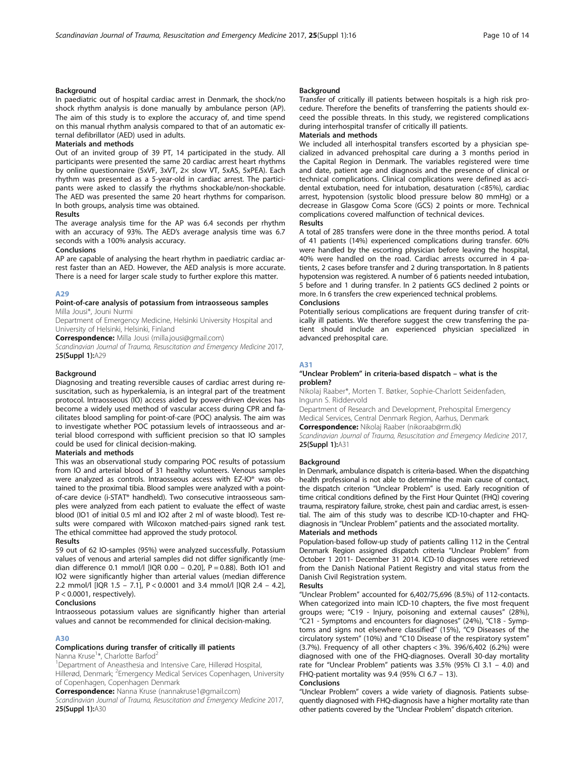# **Background**

In paediatric out of hospital cardiac arrest in Denmark, the shock/no shock rhythm analysis is done manually by ambulance person (AP). The aim of this study is to explore the accuracy of, and time spend on this manual rhythm analysis compared to that of an automatic external defibrillator (AED) used in adults.

# Materials and methods

Out of an invited group of 39 PT, 14 participated in the study. All participants were presented the same 20 cardiac arrest heart rhythms by online questionnaire (5xVF, 3xVT, 2× slow VT, 5xAS, 5xPEA). Each rhythm was presented as a 5-year-old in cardiac arrest. The participants were asked to classify the rhythms shockable/non-shockable. The AED was presented the same 20 heart rhythms for comparison. In both groups, analysis time was obtained.

# Results

The average analysis time for the AP was 6.4 seconds per rhythm with an accuracy of 93%. The AED's average analysis time was 6.7 seconds with a 100% analysis accuracy.

#### Conclusions

AP are capable of analysing the heart rhythm in paediatric cardiac arrest faster than an AED. However, the AED analysis is more accurate. There is a need for larger scale study to further explore this matter.

#### A<sub>29</sub>

# Point-of-care analysis of potassium from intraosseous samples

Milla Jousi\*, Jouni Nurmi

Department of Emergency Medicine, Helsinki University Hospital and University of Helsinki, Helsinki, Finland

Correspondence: Milla Jousi (milla.jousi@gmail.com)

Scandinavian Journal of Trauma, Resuscitation and Emergency Medicine 2017, 25(Suppl 1):A29

#### Background

Diagnosing and treating reversible causes of cardiac arrest during resuscitation, such as hyperkalemia, is an integral part of the treatment protocol. Intraosseous (IO) access aided by power-driven devices has become a widely used method of vascular access during CPR and facilitates blood sampling for point-of-care (POC) analysis. The aim was to investigate whether POC potassium levels of intraosseous and arterial blood correspond with sufficient precision so that IO samples could be used for clinical decision-making.

# Materials and methods

This was an observational study comparing POC results of potassium from IO and arterial blood of 31 healthy volunteers. Venous samples were analyzed as controls. Intraosseous access with EZ-IO® was obtained to the proximal tibia. Blood samples were analyzed with a pointof-care device (i-STAT® handheld). Two consecutive intraosseous samples were analyzed from each patient to evaluate the effect of waste blood (IO1 of initial 0.5 ml and IO2 after 2 ml of waste blood). Test results were compared with Wilcoxon matched-pairs signed rank test. The ethical committee had approved the study protocol.

# Results

59 out of 62 IO-samples (95%) were analyzed successfully. Potassium values of venous and arterial samples did not differ significantly (median difference 0.1 mmol/l [IQR 0.00 – 0.20],  $P = 0.88$ ). Both IO1 and IO2 were significantly higher than arterial values (median difference 2.2 mmol/l [IQR 1.5 – 7.1], P < 0.0001 and 3.4 mmol/l [IQR 2.4 – 4.2], P < 0.0001, respectively).

# Conclusions

Intraosseous potassium values are significantly higher than arterial values and cannot be recommended for clinical decision-making.

# A30

# Complications during transfer of critically ill patients

Nanna Kruse<sup>1\*</sup>, Charlotte Barfod<sup>2</sup>

1 Department of Aneasthesia and Intensive Care, Hillerød Hospital,

Hillerød, Denmark; <sup>2</sup>Emergency Medical Services Copenhagen, University of Copenhagen, Copenhagen Denmark

Correspondence: Nanna Kruse (nannakruse1@gmail.com)

Scandinavian Journal of Trauma, Resuscitation and Emergency Medicine 2017, 25(Suppl 1):A30

# Background

Transfer of critically ill patients between hospitals is a high risk procedure. Therefore the benefits of transferring the patients should exceed the possible threats. In this study, we registered complications during interhospital transfer of critically ill patients.

# Materials and methods

We included all interhospital transfers escorted by a physician specialized in advanced prehospital care during a 3 months period in the Capital Region in Denmark. The variables registered were time and date, patient age and diagnosis and the presence of clinical or technical complications. Clinical complications were defined as accidental extubation, need for intubation, desaturation (<85%), cardiac arrest, hypotension (systolic blood pressure below 80 mmHg) or a decrease in Glasgow Coma Score (GCS) 2 points or more. Technical complications covered malfunction of technical devices.

Results

A total of 285 transfers were done in the three months period. A total of 41 patients (14%) experienced complications during transfer. 60% were handled by the escorting physician before leaving the hospital, 40% were handled on the road. Cardiac arrests occurred in 4 patients, 2 cases before transfer and 2 during transportation. In 8 patients hypotension was registered. A number of 6 patients needed intubation, 5 before and 1 during transfer. In 2 patients GCS declined 2 points or more. In 6 transfers the crew experienced technical problems.

# Conclusions

Potentially serious complications are frequent during transfer of critically ill patients. We therefore suggest the crew transferring the patient should include an experienced physician specialized in advanced prehospital care.

# A31

#### "Unclear Problem" in criteria-based dispatch – what is the problem?

Nikolaj Raaber\*, Morten T. Bøtker, Sophie-Charlott Seidenfaden, Ingunn S. Riddervold

Department of Research and Development, Prehospital Emergency Medical Services, Central Denmark Region, Aarhus, Denmark

Correspondence: Nikolaj Raaber (nikoraab@rm.dk)

Scandinavian Journal of Trauma, Resuscitation and Emergency Medicine 2017, 25(Suppl 1):A31

# Background

In Denmark, ambulance dispatch is criteria-based. When the dispatching health professional is not able to determine the main cause of contact, the dispatch criterion "Unclear Problem" is used. Early recognition of time critical conditions defined by the First Hour Quintet (FHQ) covering trauma, respiratory failure, stroke, chest pain and cardiac arrest, is essential. The aim of this study was to describe ICD-10-chapter and FHQdiagnosis in "Unclear Problem" patients and the associated mortality.

# Materials and methods

Population-based follow-up study of patients calling 112 in the Central Denmark Region assigned dispatch criteria "Unclear Problem" from October 1 2011- December 31 2014. ICD-10 diagnoses were retrieved from the Danish National Patient Registry and vital status from the Danish Civil Registration system.

#### Results

"Unclear Problem" accounted for 6,402/75,696 (8.5%) of 112-contacts. When categorized into main ICD-10 chapters, the five most frequent groups were; "C19 - Injury, poisoning and external causes" (28%), "C21 - Symptoms and encounters for diagnoses" (24%), "C18 - Symptoms and signs not elsewhere classified" (15%), "C9 Diseases of the circulatory system" (10%) and "C10 Disease of the respiratory system" (3.7%). Frequency of all other chapters < 3%. 396/6,402 (6.2%) were diagnosed with one of the FHQ-diagnoses. Overall 30-day mortality rate for "Unclear Problem" patients was 3.5% (95% CI 3.1 – 4.0) and FHQ-patient mortality was 9.4 (95% CI 6.7 – 13).

# Conclusions

"Unclear Problem" covers a wide variety of diagnosis. Patients subsequently diagnosed with FHQ-diagnosis have a higher mortality rate than other patients covered by the "Unclear Problem" dispatch criterion.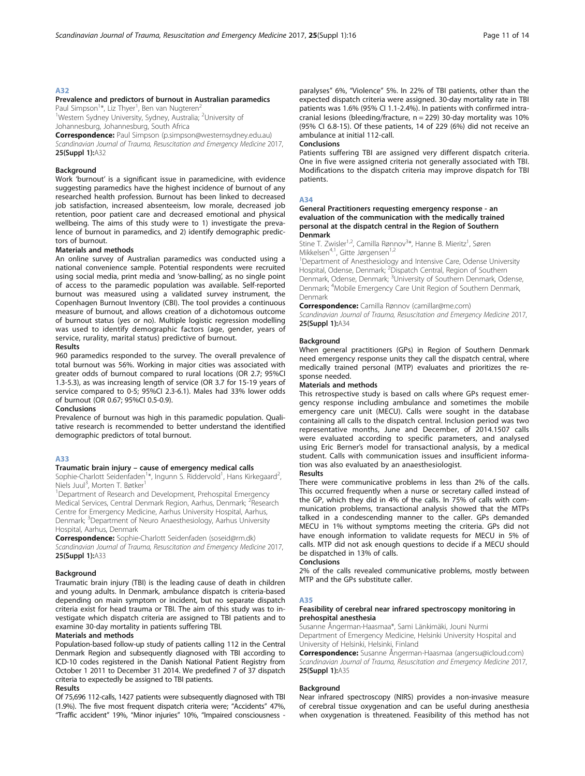# Prevalence and predictors of burnout in Australian paramedics Paul Simpson<sup>1\*</sup>, Liz Thyer<sup>1</sup>, Ben van Nugteren<sup>2</sup>

<sup>1</sup>Western Sydney University, Sydney, Australia; <sup>2</sup>University of Johannesburg, Johannesburg, South Africa

Correspondence: Paul Simpson (p.simpson@westernsydney.edu.au) Scandinavian Journal of Trauma, Resuscitation and Emergency Medicine 2017, 25(Suppl 1):A32

# Background

Work 'burnout' is a significant issue in paramedicine, with evidence suggesting paramedics have the highest incidence of burnout of any researched health profession. Burnout has been linked to decreased job satisfaction, increased absenteeism, low morale, decreased job retention, poor patient care and decreased emotional and physical wellbeing. The aims of this study were to 1) investigate the prevalence of burnout in paramedics, and 2) identify demographic predictors of burnout.

#### Materials and methods

An online survey of Australian paramedics was conducted using a national convenience sample. Potential respondents were recruited using social media, print media and 'snow-balling', as no single point of access to the paramedic population was available. Self-reported burnout was measured using a validated survey instrument, the Copenhagen Burnout Inventory (CBI). The tool provides a continuous measure of burnout, and allows creation of a dichotomous outcome of burnout status (yes or no). Multiple logistic regression modelling was used to identify demographic factors (age, gender, years of service, rurality, marital status) predictive of burnout.

#### Results

960 paramedics responded to the survey. The overall prevalence of total burnout was 56%. Working in major cities was associated with greater odds of burnout compared to rural locations (OR 2.7; 95%CI 1.3-5.3), as was increasing length of service (OR 3.7 for 15-19 years of service compared to 0-5; 95%CI 2.3-6.1). Males had 33% lower odds of burnout (OR 0.67; 95%CI 0.5-0.9).

# Conclusions

Prevalence of burnout was high in this paramedic population. Qualitative research is recommended to better understand the identified demographic predictors of total burnout.

# A33

# Traumatic brain injury – cause of emergency medical calls

Sophie-Charlott Seidenfaden<sup>1</sup>\*, Ingunn S. Riddervold<sup>1</sup>, Hans Kirkegaard<sup>2</sup> , Niels Juul<sup>3</sup>, Morten T. Bøtker<sup>1</sup>

<sup>1</sup>Department of Research and Development, Prehospital Emergency Medical Services, Central Denmark Region, Aarhus, Denmark; <sup>2</sup>Research Centre for Emergency Medicine, Aarhus University Hospital, Aarhus, Denmark; <sup>3</sup>Department of Neuro Anaesthesiology, Aarhus University Hospital, Aarhus, Denmark

Correspondence: Sophie-Charlott Seidenfaden (soseid@rm.dk) Scandinavian Journal of Trauma, Resuscitation and Emergency Medicine 2017, 25(Suppl 1):A33

#### Background

Traumatic brain injury (TBI) is the leading cause of death in children and young adults. In Denmark, ambulance dispatch is criteria-based depending on main symptom or incident, but no separate dispatch criteria exist for head trauma or TBI. The aim of this study was to investigate which dispatch criteria are assigned to TBI patients and to examine 30-day mortality in patients suffering TBI.

# Materials and methods

Population-based follow-up study of patients calling 112 in the Central Denmark Region and subsequently diagnosed with TBI according to ICD-10 codes registered in the Danish National Patient Registry from October 1 2011 to December 31 2014. We predefined 7 of 37 dispatch criteria to expectedly be assigned to TBI patients.

# Results

Of 75,696 112-calls, 1427 patients were subsequently diagnosed with TBI (1.9%). The five most frequent dispatch criteria were; "Accidents" 47%, "Traffic accident" 19%, "Minor injuries" 10%, "Impaired consciousness - paralyses" 6%, "Violence" 5%. In 22% of TBI patients, other than the expected dispatch criteria were assigned. 30-day mortality rate in TBI patients was 1.6% (95% CI 1.1-2.4%). In patients with confirmed intracranial lesions (bleeding/fracture,  $n = 229$ ) 30-day mortality was 10% (95% CI 6.8-15). Of these patients, 14 of 229 (6%) did not receive an ambulance at initial 112-call.

#### Conclusions

Patients suffering TBI are assigned very different dispatch criteria. One in five were assigned criteria not generally associated with TBI. Modifications to the dispatch criteria may improve dispatch for TBI patients.

# A34

# General Practitioners requesting emergency response - an evaluation of the communication with the medically trained personal at the dispatch central in the Region of Southern Denmark

Stine T. Zwisler<sup>1,2</sup>, Camilla Rønnov<sup>3\*</sup>, Hanne B. Mieritz<sup>1</sup>, Søren Mikkelsen<sup>4,1</sup>, Gitte Jørgensen<sup>1,2</sup>

<sup>1</sup>Department of Anesthesiology and Intensive Care, Odense University Hospital, Odense, Denmark; <sup>2</sup>Dispatch Central, Region of Southern Denmark, Odense, Denmark; <sup>3</sup>University of Southern Denmark, Odense, Denmark; <sup>4</sup> Mobile Emergency Care Unit Region of Southern Denmark, Denmark

Correspondence: Camilla Rønnov (camillar@me.com)

Scandinavian Journal of Trauma, Resuscitation and Emergency Medicine 2017, 25(Suppl 1):A34

# Background

When general practitioners (GPs) in Region of Southern Denmark need emergency response units they call the dispatch central, where medically trained personal (MTP) evaluates and prioritizes the response needed.

#### Materials and methods

This retrospective study is based on calls where GPs request emergency response including ambulance and sometimes the mobile emergency care unit (MECU). Calls were sought in the database containing all calls to the dispatch central. Inclusion period was two representative months, June and December, of 2014.1507 calls were evaluated according to specific parameters, and analysed using Eric Berner's model for transactional analysis, by a medical student. Calls with communication issues and insufficient information was also evaluated by an anaesthesiologist.

# Results

There were communicative problems in less than 2% of the calls. This occurred frequently when a nurse or secretary called instead of the GP, which they did in 4% of the calls. In 75% of calls with communication problems, transactional analysis showed that the MTPs talked in a condescending manner to the caller. GPs demanded MECU in 1% without symptoms meeting the criteria. GPs did not have enough information to validate requests for MECU in 5% of calls. MTP did not ask enough questions to decide if a MECU should be dispatched in 13% of calls.

# Conclusions

2% of the calls revealed communicative problems, mostly between MTP and the GPs substitute caller.

#### A35

# Feasibility of cerebral near infrared spectroscopy monitoring in prehospital anesthesia

Susanne Ångerman-Haasmaa\*, Sami Länkimäki, Jouni Nurmi Department of Emergency Medicine, Helsinki University Hospital and University of Helsinki, Helsinki, Finland

Correspondence: Susanne Ångerman-Haasmaa (angersu@icloud.com) Scandinavian Journal of Trauma, Resuscitation and Emergency Medicine 2017, **25(Suppl 1):**A35

#### Background

Near infrared spectroscopy (NIRS) provides a non-invasive measure of cerebral tissue oxygenation and can be useful during anesthesia when oxygenation is threatened. Feasibility of this method has not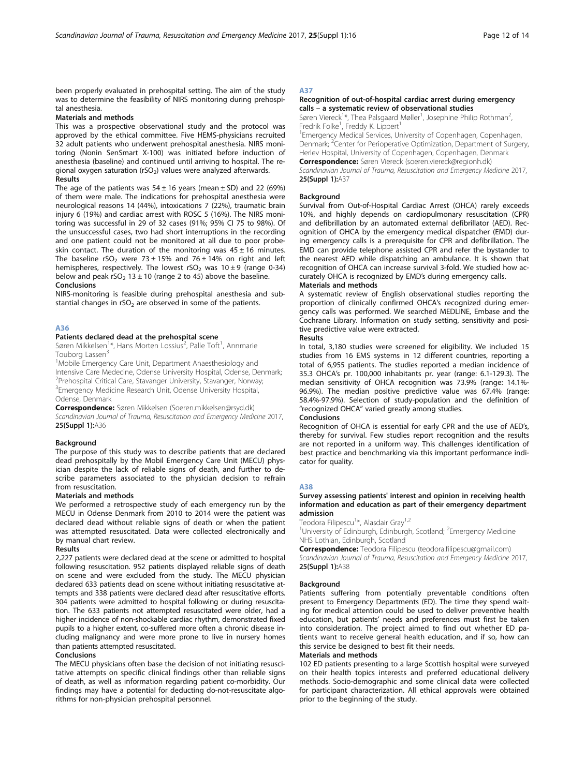been properly evaluated in prehospital setting. The aim of the study was to determine the feasibility of NIRS monitoring during prehospital anesthesia.

# Materials and methods

This was a prospective observational study and the protocol was approved by the ethical committee. Five HEMS-physicians recruited 32 adult patients who underwent prehospital anesthesia. NIRS monitoring (Nonin SenSmart X-100) was initiated before induction of anesthesia (baseline) and continued until arriving to hospital. The regional oxygen saturation (rSO<sub>2</sub>) values were analyzed afterwards. Results

The age of the patients was  $54 \pm 16$  years (mean  $\pm$  SD) and 22 (69%) of them were male. The indications for prehospital anesthesia were neurological reasons 14 (44%), intoxications 7 (22%), traumatic brain injury 6 (19%) and cardiac arrest with ROSC 5 (16%). The NIRS monitoring was successful in 29 of 32 cases (91%; 95% CI 75 to 98%). Of the unsuccessful cases, two had short interruptions in the recording and one patient could not be monitored at all due to poor probeskin contact. The duration of the monitoring was  $45 \pm 16$  minutes. The baseline rSO<sub>2</sub> were 73 ± 15% and 76 ± 14% on right and left hemispheres, respectively. The lowest  $rSO_2$  was  $10 \pm 9$  (range 0-34) below and peak rSO<sub>2</sub> 13  $\pm$  10 (range 2 to 45) above the baseline. Conclusions

NIRS-monitoring is feasible during prehospital anesthesia and substantial changes in  $rSO<sub>2</sub>$  are observed in some of the patients.

# A36

#### Patients declared dead at the prehospital scene

Søren Mikkelsen<sup>1\*</sup>, Hans Morten Lossius<sup>2</sup>, Palle Toft<sup>1</sup>, Annmarie Touborg Lassen<sup>3</sup>

<sup>1</sup>Mobile Emergency Care Unit, Department Anaesthesiology and Intensive Care Medecine, Odense University Hospital, Odense, Denmark; 2 Prehospital Critical Care, Stavanger University, Stavanger, Norway; <sup>3</sup> Emergency Medicine Research Unit, Odense University Hospital, Odense, Denmark

Correspondence: Søren Mikkelsen (Soeren.mikkelsen@rsyd.dk) Scandinavian Journal of Trauma, Resuscitation and Emergency Medicine 2017, 25(Suppl 1):A36

#### **Background**

The purpose of this study was to describe patients that are declared dead prehospitally by the Mobil Emergency Care Unit (MECU) physician despite the lack of reliable signs of death, and further to describe parameters associated to the physician decision to refrain from resuscitation.

# Materials and methods

We performed a retrospective study of each emergency run by the MECU in Odense Denmark from 2010 to 2014 were the patient was declared dead without reliable signs of death or when the patient was attempted resuscitated. Data were collected electronically and by manual chart review.

#### Results

2,227 patients were declared dead at the scene or admitted to hospital following resuscitation. 952 patients displayed reliable signs of death on scene and were excluded from the study. The MECU physician declared 633 patients dead on scene without initiating resuscitative attempts and 338 patients were declared dead after resuscitative efforts. 304 patients were admitted to hospital following or during resuscitation. The 633 patients not attempted resuscitated were older, had a higher incidence of non-shockable cardiac rhythm, demonstrated fixed pupils to a higher extent, co-suffered more often a chronic disease including malignancy and were more prone to live in nursery homes than patients attempted resuscitated.

#### Conclusions

The MECU physicians often base the decision of not initiating resuscitative attempts on specific clinical findings other than reliable signs of death, as well as information regarding patient co-morbidity. Our findings may have a potential for deducting do-not-resuscitate algorithms for non-physician prehospital personnel.

# A37

# Recognition of out-of-hospital cardiac arrest during emergency calls – a systematic review of observational studies

Søren Viereck<sup>1\*</sup>, Thea Palsgaard Møller<sup>1</sup>, Josephine Philip Rothman<sup>2</sup> , Fredrik Folke<sup>1</sup>, Freddy K. Lippert<sup>1</sup>

<sup>1</sup> Emergency Medical Services, University of Copenhagen, Copenhagen, Denmark; <sup>2</sup>Center for Perioperative Optimization, Department of Surgery, Herlev Hospital, University of Copenhagen, Copenhagen, Denmark Correspondence: Søren Viereck (soeren.viereck@regionh.dk)

Scandinavian Journal of Trauma, Resuscitation and Emergency Medicine 2017, 25(Suppl 1):A37

# Background

Survival from Out-of-Hospital Cardiac Arrest (OHCA) rarely exceeds 10%, and highly depends on cardiopulmonary resuscitation (CPR) and defibrillation by an automated external defibrillator (AED). Recognition of OHCA by the emergency medical dispatcher (EMD) during emergency calls is a prerequisite for CPR and defibrillation. The EMD can provide telephone assisted CPR and refer the bystander to the nearest AED while dispatching an ambulance. It is shown that recognition of OHCA can increase survival 3-fold. We studied how accurately OHCA is recognized by EMD's during emergency calls.

#### Materials and methods

A systematic review of English observational studies reporting the proportion of clinically confirmed OHCA's recognized during emergency calls was performed. We searched MEDLINE, Embase and the Cochrane Library. Information on study setting, sensitivity and positive predictive value were extracted.

# Results

In total, 3,180 studies were screened for eligibility. We included 15 studies from 16 EMS systems in 12 different countries, reporting a total of 6,955 patients. The studies reported a median incidence of 35.3 OHCA's pr. 100,000 inhabitants pr. year (range: 6.1-129.3). The median sensitivity of OHCA recognition was 73.9% (range: 14.1%- 96.9%). The median positive predictive value was 67.4% (range: 58.4%-97.9%). Selection of study-population and the definition of "recognized OHCA" varied greatly among studies.

#### Conclusions

Recognition of OHCA is essential for early CPR and the use of AED's, thereby for survival. Few studies report recognition and the results are not reported in a uniform way. This challenges identification of best practice and benchmarking via this important performance indicator for quality.

#### A38

# Survey assessing patients' interest and opinion in receiving health information and education as part of their emergency department admission

Teodora Filipescu<sup>1</sup>\*, Alasdair Gray<sup>1,2</sup>

<sup>1</sup>University of Edinburgh, Edinburgh, Scotland; <sup>2</sup>Emergency Medicine NHS Lothian, Edinburgh, Scotland

Correspondence: Teodora Filipescu (teodora.filipescu@gmail.com) Scandinavian Journal of Trauma, Resuscitation and Emergency Medicine 2017, 25(Suppl 1):A38

# Background

Patients suffering from potentially preventable conditions often present to Emergency Departments (ED). The time they spend waiting for medical attention could be used to deliver preventive health education, but patients' needs and preferences must first be taken into consideration. The project aimed to find out whether ED patients want to receive general health education, and if so, how can this service be designed to best fit their needs.

# Materials and methods

102 ED patients presenting to a large Scottish hospital were surveyed on their health topics interests and preferred educational delivery methods. Socio-demographic and some clinical data were collected for participant characterization. All ethical approvals were obtained prior to the beginning of the study.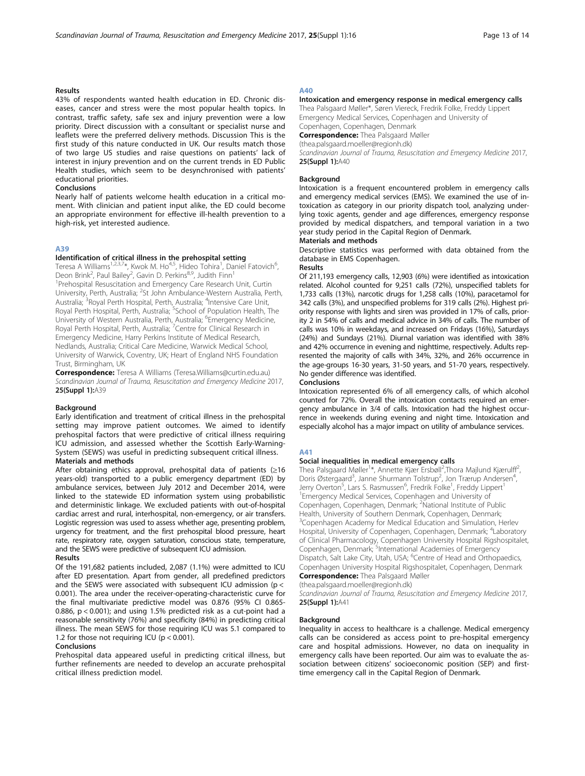# Results

43% of respondents wanted health education in ED. Chronic diseases, cancer and stress were the most popular health topics. In contrast, traffic safety, safe sex and injury prevention were a low priority. Direct discussion with a consultant or specialist nurse and leaflets were the preferred delivery methods. Discussion This is the first study of this nature conducted in UK. Our results match those of two large US studies and raise questions on patients' lack of interest in injury prevention and on the current trends in ED Public Health studies, which seem to be desynchronised with patients' educational priorities.

#### Conclusions

Nearly half of patients welcome health education in a critical moment. With clinician and patient input alike, the ED could become an appropriate environment for effective ill-health prevention to a high-risk, yet interested audience.

# A39

#### Identification of critical illness in the prehospital setting

Teresa A Williams<sup>1,2,3,7</sup>\*, Kwok M. Ho<sup>4,5</sup>, Hideo Tohira<sup>1</sup>, Daniel Fatovich<sup>6</sup> , Deon Brink<sup>2</sup>, Paul Bailey<sup>2</sup>, Gavin D. Perkins<sup>8,9</sup>, Judith Finn<sup>1</sup> <sup>1</sup>Prehospital Resuscitation and Emergency Care Research Unit, Curtin University, Perth, Australia; <sup>2</sup>St John Ambulance-Western Australia, Perth, Australia; <sup>3</sup> Royal Perth Hospital, Perth, Australia; <sup>4</sup>Intensive Care Unit, Royal Perth Hospital, Perth, Australia; <sup>5</sup>School of Population Health, The University of Western Australia, Perth, Australia; <sup>6</sup>Emergency Medicine, Royal Perth Hospital, Perth, Australia; <sup>7</sup>Centre for Clinical Research in Emergency Medicine, Harry Perkins Institute of Medical Research, Nedlands, Australia; Critical Care Medicine, Warwick Medical School, University of Warwick, Coventry, UK; Heart of England NHS Foundation Trust, Birmingham, UK

Correspondence: Teresa A Williams (Teresa.Williams@curtin.edu.au) Scandinavian Journal of Trauma, Resuscitation and Emergency Medicine 2017, 25(Suppl 1):A39

#### Background

Early identification and treatment of critical illness in the prehospital setting may improve patient outcomes. We aimed to identify prehospital factors that were predictive of critical illness requiring ICU admission, and assessed whether the Scottish Early-Warning-System (SEWS) was useful in predicting subsequent critical illness. Materials and methods

After obtaining ethics approval, prehospital data of patients  $(≥16$ years-old) transported to a public emergency department (ED) by ambulance services, between July 2012 and December 2014, were linked to the statewide ED information system using probabilistic and deterministic linkage. We excluded patients with out-of-hospital cardiac arrest and rural, interhospital, non-emergency, or air transfers. Logistic regression was used to assess whether age, presenting problem, urgency for treatment, and the first prehospital blood pressure, heart rate, respiratory rate, oxygen saturation, conscious state, temperature, and the SEWS were predictive of subsequent ICU admission.

# Results

Of the 191,682 patients included, 2,087 (1.1%) were admitted to ICU after ED presentation. Apart from gender, all predefined predictors and the SEWS were associated with subsequent ICU admission (p < 0.001). The area under the receiver-operating-characteristic curve for the final multivariate predictive model was 0.876 (95% CI 0.865- 0.886,  $p < 0.001$ ); and using 1.5% predicted risk as a cut-point had a reasonable sensitivity (76%) and specificity (84%) in predicting critical illness. The mean SEWS for those requiring ICU was 5.1 compared to 1.2 for those not requiring ICU ( $p < 0.001$ ).

# Conclusions

Prehospital data appeared useful in predicting critical illness, but further refinements are needed to develop an accurate prehospital critical illness prediction model.

# A40

# Intoxication and emergency response in medical emergency calls

Thea Palsgaard Møller\*, Søren Viereck, Fredrik Folke, Freddy Lippert Emergency Medical Services, Copenhagen and University of Copenhagen, Copenhagen, Denmark **Correspondence:** Thea Palsgaard Møller

(thea.palsgaard.moeller@regionh.dk)

Scandinavian Journal of Trauma, Resuscitation and Emergency Medicine 2017, 25(Suppl 1):A40

#### **Background**

Intoxication is a frequent encountered problem in emergency calls and emergency medical services (EMS). We examined the use of intoxication as category in our priority dispatch tool, analyzing underlying toxic agents, gender and age differences, emergency response provided by medical dispatchers, and temporal variation in a two year study period in the Capital Region of Denmark.

# Materials and methods

Descriptive statistics was performed with data obtained from the database in EMS Copenhagen.

# Results

Of 211,193 emergency calls, 12,903 (6%) were identified as intoxication related. Alcohol counted for 9,251 calls (72%), unspecified tablets for 1,733 calls (13%), narcotic drugs for 1,258 calls (10%), paracetamol for 342 calls (3%), and unspecified problems for 319 calls (2%). Highest priority response with lights and siren was provided in 17% of calls, priority 2 in 54% of calls and medical advice in 34% of calls. The number of calls was 10% in weekdays, and increased on Fridays (16%), Saturdays (24%) and Sundays (21%). Diurnal variation was identified with 38% and 42% occurrence in evening and nighttime, respectively. Adults represented the majority of calls with 34%, 32%, and 26% occurrence in the age-groups 16-30 years, 31-50 years, and 51-70 years, respectively. No gender difference was identified.

# Conclusions

Intoxication represented 6% of all emergency calls, of which alcohol counted for 72%. Overall the intoxication contacts required an emergency ambulance in 3/4 of calls. Intoxication had the highest occurrence in weekends during evening and night time. Intoxication and especially alcohol has a major impact on utility of ambulance services.

#### A41

#### Social inequalities in medical emergency calls

Thea Palsgaard Møller<sup>1\*</sup>, Annette Kjær Ersbøll<sup>2</sup>, Thora Majlund Kjærulff<sup>2</sup> , Doris Østergaard<sup>3</sup>, Janne Shurmann Tolstrup<sup>2</sup>, Jon Trærup Andersen<sup>4</sup> , Jerry Overton<sup>5</sup>, Lars S. Rasmussen<sup>6</sup>, Fredrik Folke<sup>1</sup>, Freddy Lippert<sup>1</sup> 1 Emergency Medical Services, Copenhagen and University of Copenhagen, Copenhagen, Denmark; <sup>2</sup>National Institute of Public Health, University of Southern Denmark, Copenhagen, Denmark; <sup>3</sup>Copenhagen Academy for Medical Education and Simulation, Herlev Hospital, University of Copenhagen, Copenhagen, Denmark; <sup>4</sup>Laboratory of Clinical Pharmacology, Copenhagen University Hospital Rigshospitalet, Copenhagen, Denmark; <sup>5</sup>International Academies of Emergency Dispatch, Salt Lake City, Utah, USA; <sup>6</sup>Centre of Head and Orthopaedics Copenhagen University Hospital Rigshospitalet, Copenhagen, Denmark

**Correspondence:** Thea Palsgaard Møller (thea.palsgaard.moeller@regionh.dk)

Scandinavian Journal of Trauma, Resuscitation and Emergency Medicine 2017, 25(Suppl 1):A41

#### Background

Inequality in access to healthcare is a challenge. Medical emergency calls can be considered as access point to pre-hospital emergency care and hospital admissions. However, no data on inequality in emergency calls have been reported. Our aim was to evaluate the association between citizens' socioeconomic position (SEP) and firsttime emergency call in the Capital Region of Denmark.